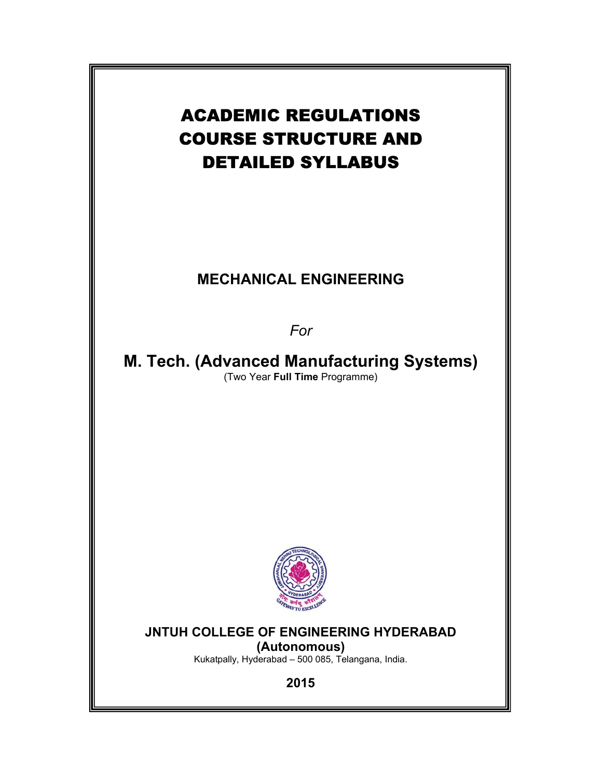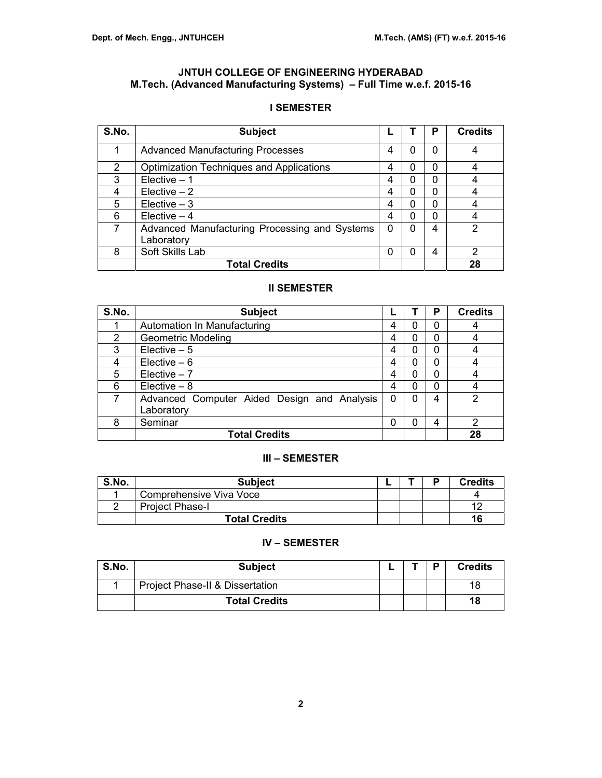# **JNTUH COLLEGE OF ENGINEERING HYDERABAD M.Tech. (Advanced Manufacturing Systems) – Full Time w.e.f. 2015-16**

# **I SEMESTER**

| S.No.         | <b>Subject</b>                                  |   |   | Р | <b>Credits</b> |
|---------------|-------------------------------------------------|---|---|---|----------------|
|               | <b>Advanced Manufacturing Processes</b>         | 4 | 0 | 0 | 4              |
| $\mathcal{P}$ | <b>Optimization Techniques and Applications</b> | 4 | 0 | 0 |                |
| 3             | $Electric - 1$                                  | 4 | 0 | 0 |                |
| 4             | Electric – 2                                    | 4 | 0 | 0 |                |
| 5             | $Elective - 3$                                  | 4 | 0 | ი |                |
| 6             | Elective $-4$                                   | 4 | 0 | ი |                |
| 7             | Advanced Manufacturing Processing and Systems   | 0 | 0 | 4 | 2              |
|               | Laboratory                                      |   |   |   |                |
| 8             | Soft Skills Lab                                 | 0 | 0 | 4 | 2              |
|               | <b>Total Credits</b>                            |   |   |   | 28             |

# **II SEMESTER**

| S.No. | <b>Subject</b>                              |   |   | Р | <b>Credits</b> |
|-------|---------------------------------------------|---|---|---|----------------|
|       | Automation In Manufacturing                 | 4 | 0 | 0 |                |
| 2     | <b>Geometric Modeling</b>                   | 4 | 0 | 0 |                |
| 3     | Elective $-5$                               | 4 | 0 | 0 |                |
| 4     | Elective $-6$                               | 4 | 0 | 0 |                |
| 5     | $Electric - 7$                              | 4 | 0 | 0 |                |
| 6     | $Electric - 8$                              | 4 | 0 | 0 |                |
|       | Advanced Computer Aided Design and Analysis | 0 | 0 | 4 | 2              |
|       | Laboratory                                  |   |   |   |                |
| 8     | Seminar                                     | 0 | 0 | 4 | $\overline{2}$ |
|       | <b>Total Credits</b>                        |   |   |   | 28             |

# **III – SEMESTER**

| S.No. | <b>Subject</b>          |  | n | <b>Credits</b> |
|-------|-------------------------|--|---|----------------|
|       | Comprehensive Viva Voce |  |   |                |
|       | <b>Project Phase-I</b>  |  |   |                |
|       | <b>Total Credits</b>    |  |   | 16             |

# **IV – SEMESTER**

| S.No. | <b>Subject</b>                  |  | D | <b>Credits</b> |
|-------|---------------------------------|--|---|----------------|
|       | Project Phase-II & Dissertation |  |   | 18             |
|       | <b>Total Credits</b>            |  |   | 18             |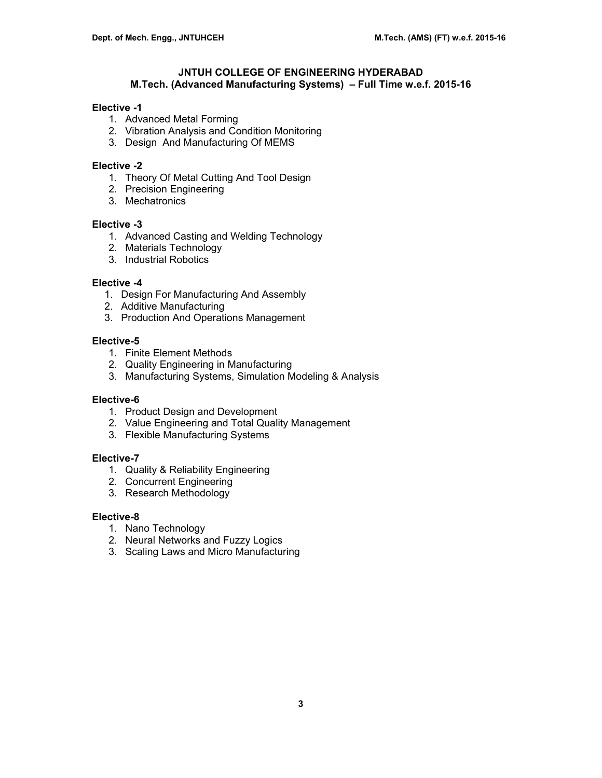# **JNTUH COLLEGE OF ENGINEERING HYDERABAD M.Tech. (Advanced Manufacturing Systems) – Full Time w.e.f. 2015-16**

### **Elective -1**

- 1. Advanced Metal Forming
- 2. Vibration Analysis and Condition Monitoring
- 3. Design And Manufacturing Of MEMS

#### **Elective -2**

- 1. Theory Of Metal Cutting And Tool Design
- 2. Precision Engineering
- 3. Mechatronics

# **Elective -3**

- 1. Advanced Casting and Welding Technology
- 2. Materials Technology
- 3. Industrial Robotics

#### **Elective -4**

- 1. Design For Manufacturing And Assembly
- 2. Additive Manufacturing
- 3. Production And Operations Management

### **Elective-5**

- 1. Finite Element Methods
- 2. Quality Engineering in Manufacturing
- 3. Manufacturing Systems, Simulation Modeling & Analysis

# **Elective-6**

- 1. Product Design and Development
- 2. Value Engineering and Total Quality Management
- 3. Flexible Manufacturing Systems

#### **Elective-7**

- 1. Quality & Reliability Engineering
- 2. Concurrent Engineering
- 3. Research Methodology

#### **Elective-8**

- 1. Nano Technology
- 2. Neural Networks and Fuzzy Logics
- 3. Scaling Laws and Micro Manufacturing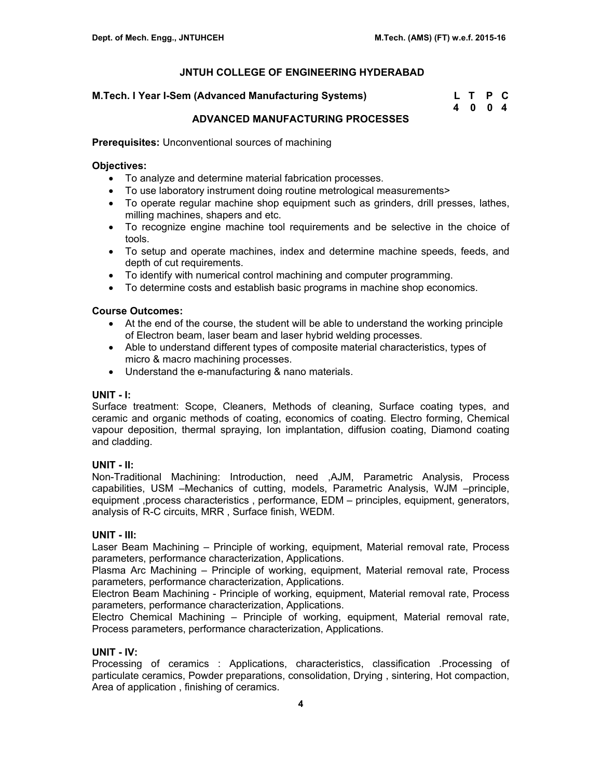### **M.Tech. I Year I-Sem (Advanced Manufacturing Systems)**

| M.Tech. I Year I-Sem (Advanced Manufacturing Systems) | L T P C |  |
|-------------------------------------------------------|---------|--|
|                                                       | 4004    |  |

# **ADVANCED MANUFACTURING PROCESSES**

**Prerequisites:** Unconventional sources of machining

#### **Objectives:**

- To analyze and determine material fabrication processes.
- To use laboratory instrument doing routine metrological measurements>
- To operate regular machine shop equipment such as grinders, drill presses, lathes, milling machines, shapers and etc.
- To recognize engine machine tool requirements and be selective in the choice of tools.
- To setup and operate machines, index and determine machine speeds, feeds, and depth of cut requirements.
- To identify with numerical control machining and computer programming.
- To determine costs and establish basic programs in machine shop economics.

# **Course Outcomes:**

- At the end of the course, the student will be able to understand the working principle of Electron beam, laser beam and laser hybrid welding processes.
- Able to understand different types of composite material characteristics, types of micro & macro machining processes.
- Understand the e-manufacturing & nano materials.

# **UNIT - I:**

Surface treatment: Scope, Cleaners, Methods of cleaning, Surface coating types, and ceramic and organic methods of coating, economics of coating. Electro forming, Chemical vapour deposition, thermal spraying, Ion implantation, diffusion coating, Diamond coating and cladding.

# **UNIT - II:**

Non-Traditional Machining: Introduction, need ,AJM, Parametric Analysis, Process capabilities, USM –Mechanics of cutting, models, Parametric Analysis, WJM –principle, equipment ,process characteristics , performance, EDM – principles, equipment, generators, analysis of R-C circuits, MRR , Surface finish, WEDM.

# **UNIT - III:**

Laser Beam Machining – Principle of working, equipment, Material removal rate, Process parameters, performance characterization, Applications.

Plasma Arc Machining – Principle of working, equipment, Material removal rate, Process parameters, performance characterization, Applications.

Electron Beam Machining - Principle of working, equipment, Material removal rate, Process parameters, performance characterization, Applications.

Electro Chemical Machining – Principle of working, equipment, Material removal rate, Process parameters, performance characterization, Applications.

# **UNIT - IV:**

Processing of ceramics : Applications, characteristics, classification .Processing of particulate ceramics, Powder preparations, consolidation, Drying , sintering, Hot compaction, Area of application , finishing of ceramics.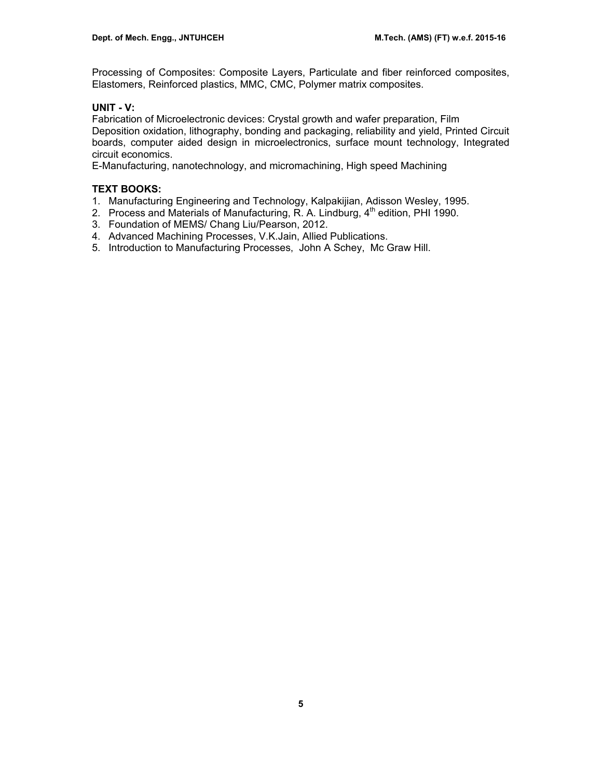Processing of Composites: Composite Layers, Particulate and fiber reinforced composites, Elastomers, Reinforced plastics, MMC, CMC, Polymer matrix composites.

# **UNIT - V:**

Fabrication of Microelectronic devices: Crystal growth and wafer preparation, Film Deposition oxidation, lithography, bonding and packaging, reliability and yield, Printed Circuit boards, computer aided design in microelectronics, surface mount technology, Integrated circuit economics.

E-Manufacturing, nanotechnology, and micromachining, High speed Machining

# **TEXT BOOKS:**

- 1. Manufacturing Engineering and Technology, Kalpakijian, Adisson Wesley, 1995.
- 2. Process and Materials of Manufacturing, R. A. Lindburg,  $4<sup>th</sup>$  edition, PHI 1990.
- 3. Foundation of MEMS/ Chang Liu/Pearson, 2012.
- 4. Advanced Machining Processes, V.K.Jain, Allied Publications.
- 5. Introduction to Manufacturing Processes, John A Schey, Mc Graw Hill.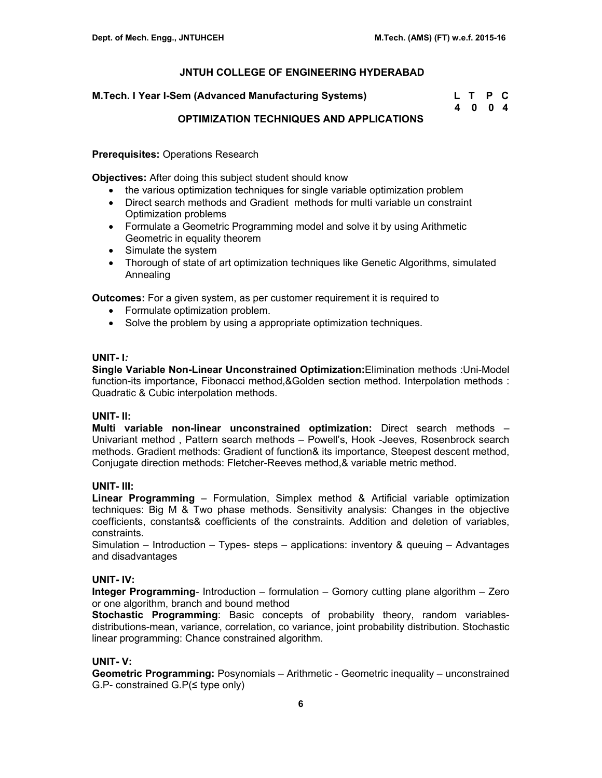| M.Tech. I Year I-Sem (Advanced Manufacturing Systems) | L T P C |  |
|-------------------------------------------------------|---------|--|
|                                                       | 4 0 0 4 |  |

# **OPTIMIZATION TECHNIQUES AND APPLICATIONS**

**Prerequisites:** Operations Research

**Objectives:** After doing this subject student should know

- the various optimization techniques for single variable optimization problem
- Direct search methods and Gradient methods for multi variable un constraint Optimization problems
- Formulate a Geometric Programming model and solve it by using Arithmetic Geometric in equality theorem
- Simulate the system
- Thorough of state of art optimization techniques like Genetic Algorithms, simulated Annealing

**Outcomes:** For a given system, as per customer requirement it is required to

- Formulate optimization problem.
- Solve the problem by using a appropriate optimization techniques.

# **UNIT- I***:*

**Single Variable Non-Linear Unconstrained Optimization:**Elimination methods :Uni-Model function-its importance, Fibonacci method,&Golden section method. Interpolation methods : Quadratic & Cubic interpolation methods.

# **UNIT- II:**

**Multi variable non-linear unconstrained optimization:** Direct search methods – Univariant method , Pattern search methods – Powell's, Hook -Jeeves, Rosenbrock search methods. Gradient methods: Gradient of function& its importance, Steepest descent method, Conjugate direction methods: Fletcher-Reeves method,& variable metric method.

# **UNIT- III:**

**Linear Programming** – Formulation, Simplex method & Artificial variable optimization techniques: Big M & Two phase methods. Sensitivity analysis: Changes in the objective coefficients, constants& coefficients of the constraints. Addition and deletion of variables, constraints.

Simulation – Introduction – Types- steps – applications: inventory & queuing – Advantages and disadvantages

# **UNIT- IV:**

**Integer Programming**- Introduction – formulation – Gomory cutting plane algorithm – Zero or one algorithm, branch and bound method

**Stochastic Programming**: Basic concepts of probability theory, random variablesdistributions-mean, variance, correlation, co variance, joint probability distribution. Stochastic linear programming: Chance constrained algorithm.

# **UNIT- V:**

**Geometric Programming:** Posynomials – Arithmetic - Geometric inequality – unconstrained G.P- constrained G.P(≤ type only)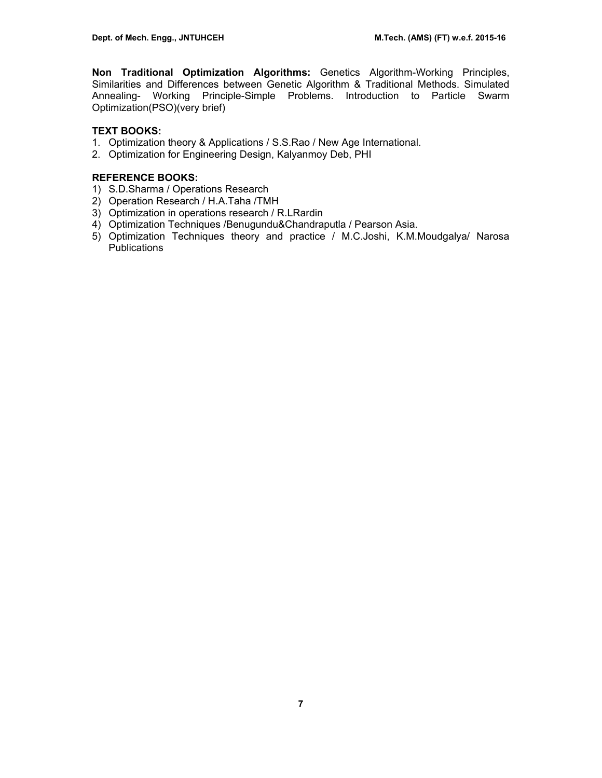**Non Traditional Optimization Algorithms:** Genetics Algorithm-Working Principles, Similarities and Differences between Genetic Algorithm & Traditional Methods. Simulated Annealing- Working Principle-Simple Problems. Introduction to Particle Swarm Optimization(PSO)(very brief)

# **TEXT BOOKS:**

- 1. Optimization theory & Applications / S.S.Rao / New Age International.
- 2. Optimization for Engineering Design, Kalyanmoy Deb, PHI

# **REFERENCE BOOKS:**

- 1) S.D.Sharma / Operations Research
- 2) Operation Research / H.A.Taha /TMH
- 3) Optimization in operations research / R.LRardin
- 4) Optimization Techniques /Benugundu&Chandraputla / Pearson Asia.
- 5) Optimization Techniques theory and practice / M.C.Joshi, K.M.Moudgalya/ Narosa **Publications**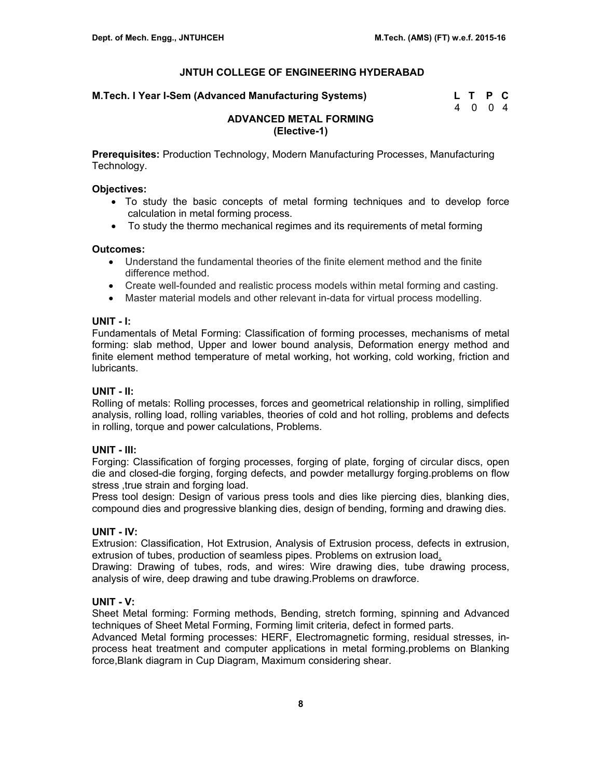**M.Tech. I Year I-Sem (Advanced Manufacturing Systems)** 

| M.Tech. I Year I-Sem (Advanced Manufacturing Systems) | L T P C |  |
|-------------------------------------------------------|---------|--|
|                                                       | 4 0 0 4 |  |

# **ADVANCED METAL FORMING (Elective-1)**

**Prerequisites:** Production Technology, Modern Manufacturing Processes, Manufacturing Technology.

### **Objectives:**

- To study the basic concepts of metal forming techniques and to develop force calculation in metal forming process.
- To study the thermo mechanical regimes and its requirements of metal forming

# **Outcomes:**

- Understand the fundamental theories of the finite element method and the finite difference method.
- Create well-founded and realistic process models within metal forming and casting.
- Master material models and other relevant in-data for virtual process modelling.

### **UNIT - I:**

Fundamentals of Metal Forming: Classification of forming processes, mechanisms of metal forming: slab method, Upper and lower bound analysis, Deformation energy method and finite element method temperature of metal working, hot working, cold working, friction and lubricants.

# **UNIT - II:**

Rolling of metals: Rolling processes, forces and geometrical relationship in rolling, simplified analysis, rolling load, rolling variables, theories of cold and hot rolling, problems and defects in rolling, torque and power calculations, Problems.

# **UNIT - III:**

Forging: Classification of forging processes, forging of plate, forging of circular discs, open die and closed-die forging, forging defects, and powder metallurgy forging.problems on flow stress , true strain and forging load.

Press tool design: Design of various press tools and dies like piercing dies, blanking dies, compound dies and progressive blanking dies, design of bending, forming and drawing dies.

# **UNIT - IV:**

Extrusion: Classification, Hot Extrusion, Analysis of Extrusion process, defects in extrusion, extrusion of tubes, production of seamless pipes. Problems on extrusion load.

Drawing: Drawing of tubes, rods, and wires: Wire drawing dies, tube drawing process, analysis of wire, deep drawing and tube drawing.Problems on drawforce.

# **UNIT - V:**

Sheet Metal forming: Forming methods, Bending, stretch forming, spinning and Advanced techniques of Sheet Metal Forming, Forming limit criteria, defect in formed parts.

Advanced Metal forming processes: HERF, Electromagnetic forming, residual stresses, inprocess heat treatment and computer applications in metal forming.problems on Blanking force,Blank diagram in Cup Diagram, Maximum considering shear.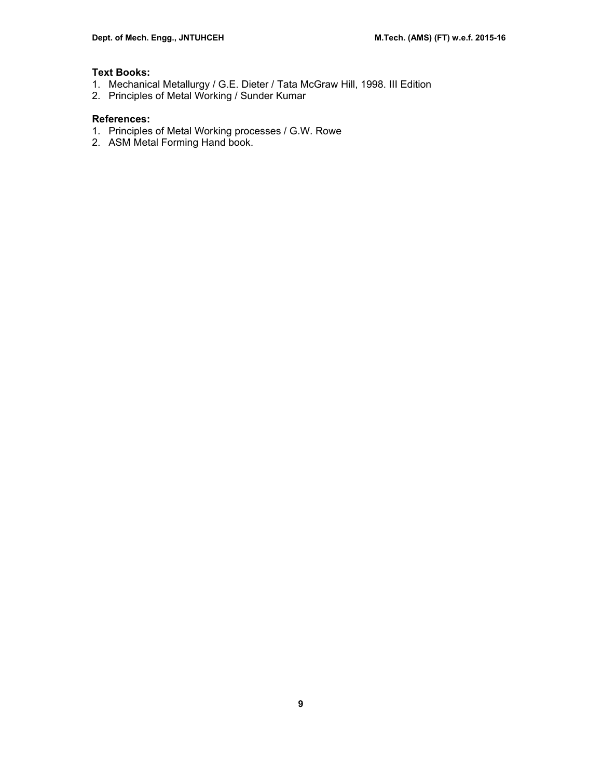# **Text Books:**

- 1. Mechanical Metallurgy / G.E. Dieter / Tata McGraw Hill, 1998. III Edition
- 2. Principles of Metal Working / Sunder Kumar

# **References:**

- 1. Principles of Metal Working processes / G.W. Rowe
- 2. ASM Metal Forming Hand book.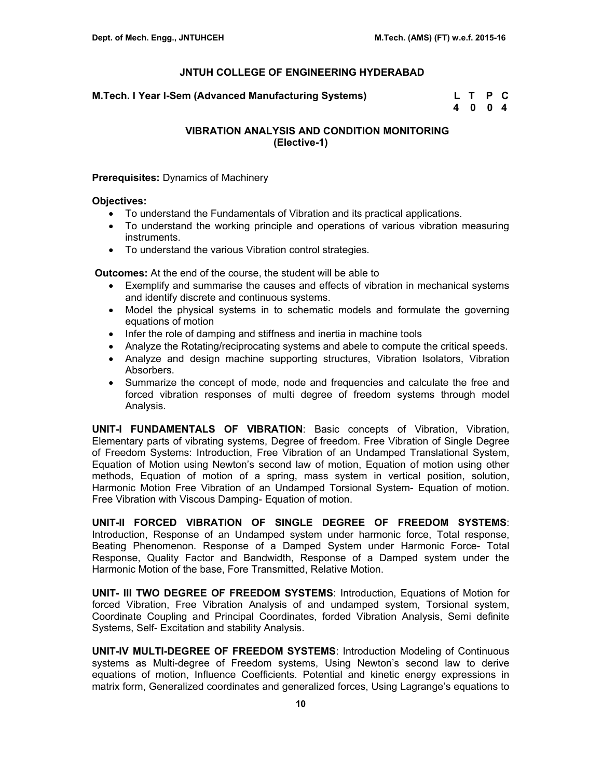**M.Tech. I Year I-Sem (Advanced Manufacturing Systems)** 

| M.Tech. I Year I-Sem (Advanced Manufacturing Systems) | L T P C |  |
|-------------------------------------------------------|---------|--|
|                                                       | 4 0 0 4 |  |

# **VIBRATION ANALYSIS AND CONDITION MONITORING (Elective-1)**

#### **Prerequisites:** Dynamics of Machinery

#### **Objectives:**

- To understand the Fundamentals of Vibration and its practical applications.
- To understand the working principle and operations of various vibration measuring instruments.
- To understand the various Vibration control strategies.

 **Outcomes:** At the end of the course, the student will be able to

- Exemplify and summarise the causes and effects of vibration in mechanical systems and identify discrete and continuous systems.
- Model the physical systems in to schematic models and formulate the governing equations of motion
- Infer the role of damping and stiffness and inertia in machine tools
- Analyze the Rotating/reciprocating systems and abele to compute the critical speeds.
- Analyze and design machine supporting structures, Vibration Isolators, Vibration Absorbers.
- Summarize the concept of mode, node and frequencies and calculate the free and forced vibration responses of multi degree of freedom systems through model Analysis.

**UNIT-I FUNDAMENTALS OF VIBRATION**: Basic concepts of Vibration, Vibration, Elementary parts of vibrating systems, Degree of freedom. Free Vibration of Single Degree of Freedom Systems: Introduction, Free Vibration of an Undamped Translational System, Equation of Motion using Newton's second law of motion, Equation of motion using other methods, Equation of motion of a spring, mass system in vertical position, solution, Harmonic Motion Free Vibration of an Undamped Torsional System- Equation of motion. Free Vibration with Viscous Damping- Equation of motion.

**UNIT-II FORCED VIBRATION OF SINGLE DEGREE OF FREEDOM SYSTEMS**: Introduction, Response of an Undamped system under harmonic force, Total response, Beating Phenomenon. Response of a Damped System under Harmonic Force- Total Response, Quality Factor and Bandwidth, Response of a Damped system under the Harmonic Motion of the base, Fore Transmitted, Relative Motion.

**UNIT- III TWO DEGREE OF FREEDOM SYSTEMS**: Introduction, Equations of Motion for forced Vibration, Free Vibration Analysis of and undamped system, Torsional system, Coordinate Coupling and Principal Coordinates, forded Vibration Analysis, Semi definite Systems, Self- Excitation and stability Analysis.

**UNIT-IV MULTI-DEGREE OF FREEDOM SYSTEMS**: Introduction Modeling of Continuous systems as Multi-degree of Freedom systems, Using Newton's second law to derive equations of motion, Influence Coefficients. Potential and kinetic energy expressions in matrix form, Generalized coordinates and generalized forces, Using Lagrange's equations to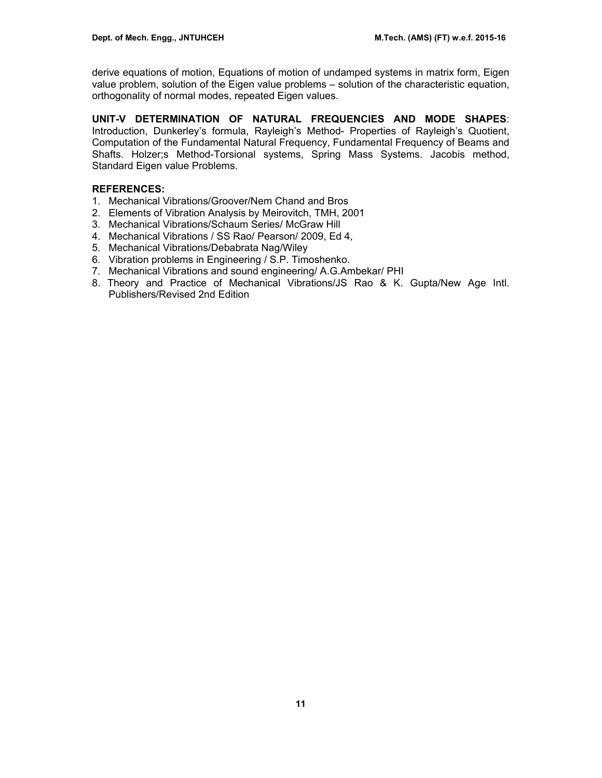derive equations of motion, Equations of motion of undamped systems in matrix form, Eigen value problem, solution of the Eigen value problems – solution of the characteristic equation, orthogonality of normal modes, repeated Eigen values.

**UNIT-V DETERMINATION OF NATURAL FREQUENCIES AND MODE SHAPES**: Introduction, Dunkerley's formula, Rayleigh's Method- Properties of Rayleigh's Quotient, Computation of the Fundamental Natural Frequency, Fundamental Frequency of Beams and Shafts. Holzer;s Method-Torsional systems, Spring Mass Systems. Jacobis method, Standard Eigen value Problems.

# **REFERENCES:**

- 1. Mechanical Vibrations/Groover/Nem Chand and Bros
- 2. Elements of Vibration Analysis by Meirovitch, TMH, 2001
- 3. Mechanical Vibrations/Schaum Series/ McGraw Hill
- 4. Mechanical Vibrations / SS Rao/ Pearson/ 2009, Ed 4,
- 5. Mechanical Vibrations/Debabrata Nag/Wiley
- 6. Vibration problems in Engineering / S.P. Timoshenko.
- 7. Mechanical Vibrations and sound engineering/ A.G.Ambekar/ PHI
- 8. Theory and Practice of Mechanical Vibrations/JS Rao & K. Gupta/New Age Intl. Publishers/Revised 2nd Edition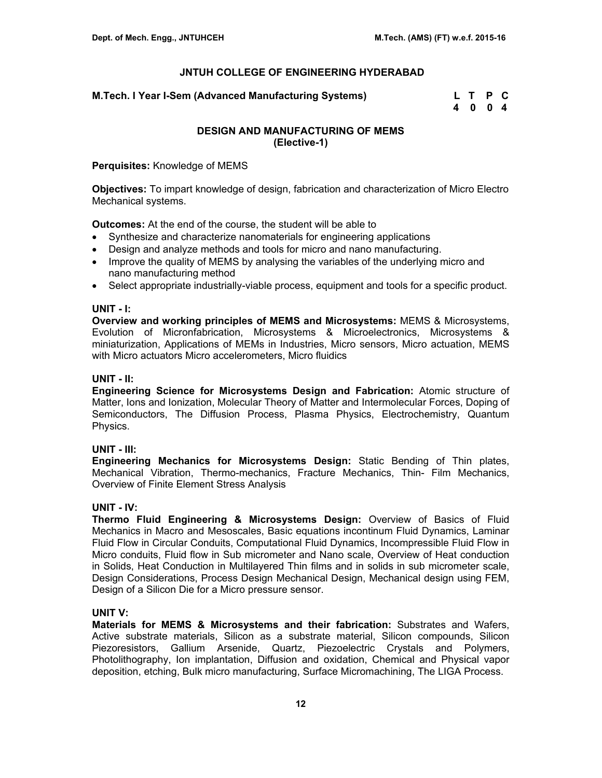**M.Tech. I Year I-Sem (Advanced Manufacturing Systems) L T P C** 

 **4 0 0 4** 

# **DESIGN AND MANUFACTURING OF MEMS (Elective-1)**

**Perquisites:** Knowledge of MEMS

**Objectives:** To impart knowledge of design, fabrication and characterization of Micro Electro Mechanical systems.

**Outcomes:** At the end of the course, the student will be able to

- Synthesize and characterize nanomaterials for engineering applications
- Design and analyze methods and tools for micro and nano manufacturing.
- Improve the quality of MEMS by analysing the variables of the underlying micro and nano manufacturing method
- Select appropriate industrially-viable process, equipment and tools for a specific product.

#### **UNIT - I:**

**Overview and working principles of MEMS and Microsystems:** MEMS & Microsystems, Evolution of Micronfabrication, Microsystems & Microelectronics, Microsystems & miniaturization, Applications of MEMs in Industries, Micro sensors, Micro actuation, MEMS with Micro actuators Micro accelerometers, Micro fluidics

## **UNIT - II:**

**Engineering Science for Microsystems Design and Fabrication:** Atomic structure of Matter, Ions and Ionization, Molecular Theory of Matter and Intermolecular Forces, Doping of Semiconductors, The Diffusion Process, Plasma Physics, Electrochemistry, Quantum Physics.

# **UNIT - III:**

**Engineering Mechanics for Microsystems Design:** Static Bending of Thin plates, Mechanical Vibration, Thermo-mechanics, Fracture Mechanics, Thin- Film Mechanics, Overview of Finite Element Stress Analysis

# **UNIT - IV:**

**Thermo Fluid Engineering & Microsystems Design:** Overview of Basics of Fluid Mechanics in Macro and Mesoscales, Basic equations incontinum Fluid Dynamics, Laminar Fluid Flow in Circular Conduits, Computational Fluid Dynamics, Incompressible Fluid Flow in Micro conduits, Fluid flow in Sub micrometer and Nano scale, Overview of Heat conduction in Solids, Heat Conduction in Multilayered Thin films and in solids in sub micrometer scale, Design Considerations, Process Design Mechanical Design, Mechanical design using FEM, Design of a Silicon Die for a Micro pressure sensor.

# **UNIT V:**

**Materials for MEMS & Microsystems and their fabrication:** Substrates and Wafers, Active substrate materials, Silicon as a substrate material, Silicon compounds, Silicon Piezoresistors, Gallium Arsenide, Quartz, Piezoelectric Crystals and Polymers, Photolithography, Ion implantation, Diffusion and oxidation, Chemical and Physical vapor deposition, etching, Bulk micro manufacturing, Surface Micromachining, The LIGA Process.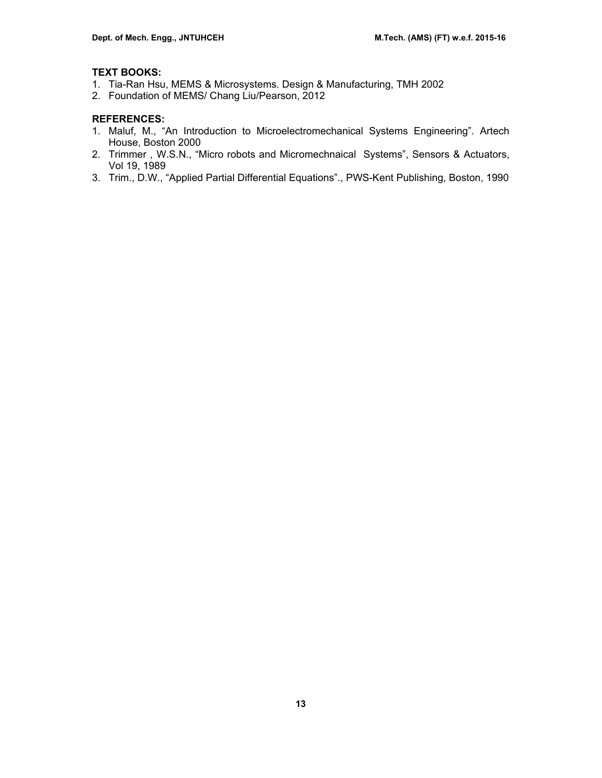# **TEXT BOOKS:**

- 1. Tia-Ran Hsu, MEMS & Microsystems. Design & Manufacturing, TMH 2002
- 2. Foundation of MEMS/ Chang Liu/Pearson, 2012

### **REFERENCES:**

- 1. Maluf, M., "An Introduction to Microelectromechanical Systems Engineering". Artech House, Boston 2000
- 2. Trimmer , W.S.N., "Micro robots and Micromechnaical Systems", Sensors & Actuators, Vol 19, 1989
- 3. Trim., D.W., "Applied Partial Differential Equations"., PWS-Kent Publishing, Boston, 1990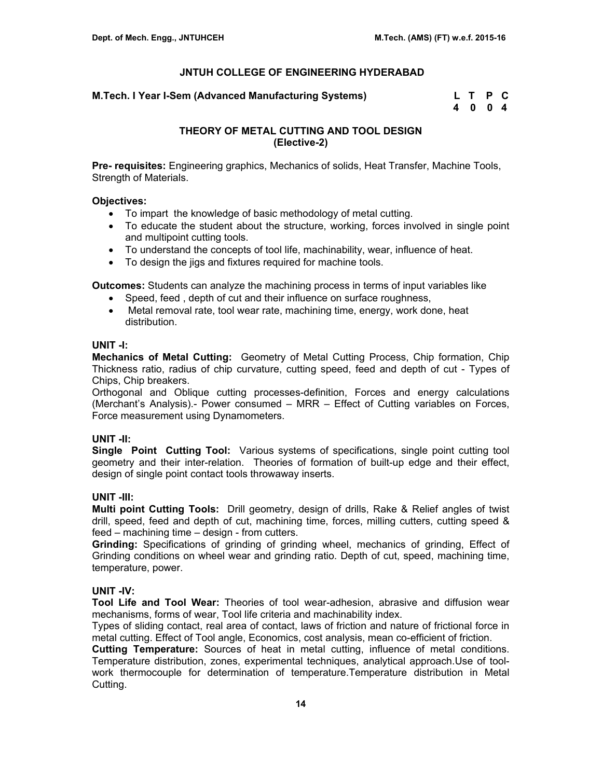#### **M.Tech. I Year I-Sem (Advanced Manufacturing Systems)**

| M.Tech. I Year I-Sem (Advanced Manufacturing Systems) |      | L T P C |  |  |
|-------------------------------------------------------|------|---------|--|--|
|                                                       | 4004 |         |  |  |

# **THEORY OF METAL CUTTING AND TOOL DESIGN (Elective-2)**

**Pre- requisites:** Engineering graphics, Mechanics of solids, Heat Transfer, Machine Tools, Strength of Materials.

#### **Objectives:**

- To impart the knowledge of basic methodology of metal cutting.
- To educate the student about the structure, working, forces involved in single point and multipoint cutting tools.
- To understand the concepts of tool life, machinability, wear, influence of heat.
- To design the jigs and fixtures required for machine tools.

**Outcomes:** Students can analyze the machining process in terms of input variables like

- Speed, feed , depth of cut and their influence on surface roughness,
- Metal removal rate, tool wear rate, machining time, energy, work done, heat distribution.

#### **UNIT -I:**

**Mechanics of Metal Cutting:** Geometry of Metal Cutting Process, Chip formation, Chip Thickness ratio, radius of chip curvature, cutting speed, feed and depth of cut - Types of Chips, Chip breakers.

Orthogonal and Oblique cutting processes-definition, Forces and energy calculations (Merchant's Analysis).- Power consumed – MRR – Effect of Cutting variables on Forces, Force measurement using Dynamometers.

# **UNIT -II:**

**Single Point Cutting Tool:** Various systems of specifications, single point cutting tool geometry and their inter-relation. Theories of formation of built-up edge and their effect, design of single point contact tools throwaway inserts.

# **UNIT -III:**

**Multi point Cutting Tools:** Drill geometry, design of drills, Rake & Relief angles of twist drill, speed, feed and depth of cut, machining time, forces, milling cutters, cutting speed & feed – machining time – design - from cutters.

**Grinding:** Specifications of grinding of grinding wheel, mechanics of grinding, Effect of Grinding conditions on wheel wear and grinding ratio. Depth of cut, speed, machining time, temperature, power.

# **UNIT -IV:**

**Tool Life and Tool Wear:** Theories of tool wear-adhesion, abrasive and diffusion wear mechanisms, forms of wear, Tool life criteria and machinability index.

Types of sliding contact, real area of contact, laws of friction and nature of frictional force in metal cutting. Effect of Tool angle, Economics, cost analysis, mean co-efficient of friction.

**Cutting Temperature:** Sources of heat in metal cutting, influence of metal conditions. Temperature distribution, zones, experimental techniques, analytical approach.Use of toolwork thermocouple for determination of temperature.Temperature distribution in Metal Cutting.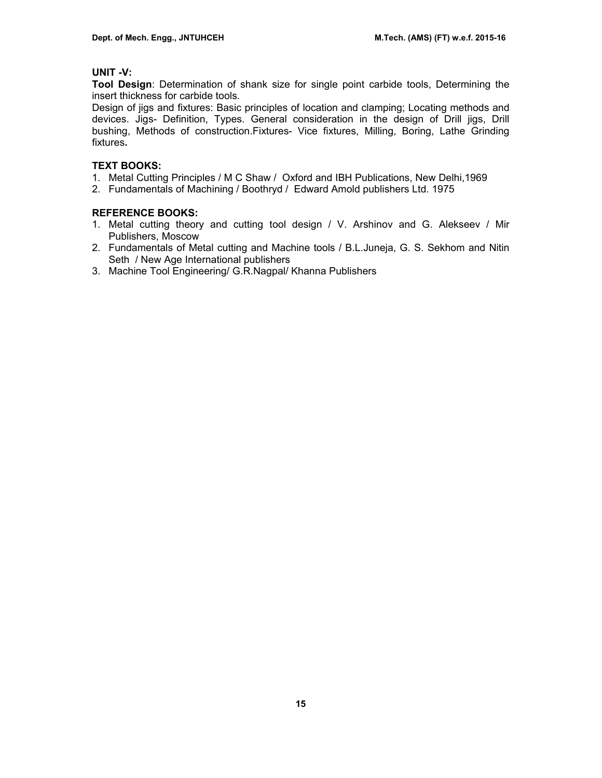# **UNIT -V:**

**Tool Design**: Determination of shank size for single point carbide tools, Determining the insert thickness for carbide tools.

Design of jigs and fixtures: Basic principles of location and clamping; Locating methods and devices. Jigs- Definition, Types. General consideration in the design of Drill jigs, Drill bushing, Methods of construction.Fixtures- Vice fixtures, Milling, Boring, Lathe Grinding fixtures**.**

# **TEXT BOOKS:**

- 1. Metal Cutting Principles / M C Shaw / Oxford and IBH Publications, New Delhi,1969
- 2. Fundamentals of Machining / Boothryd / Edward Amold publishers Ltd. 1975

# **REFERENCE BOOKS:**

- 1. Metal cutting theory and cutting tool design / V. Arshinov and G. Alekseev / Mir Publishers, Moscow
- 2. Fundamentals of Metal cutting and Machine tools / B.L.Juneja, G. S. Sekhom and Nitin Seth / New Age International publishers
- 3. Machine Tool Engineering/ G.R.Nagpal/ Khanna Publishers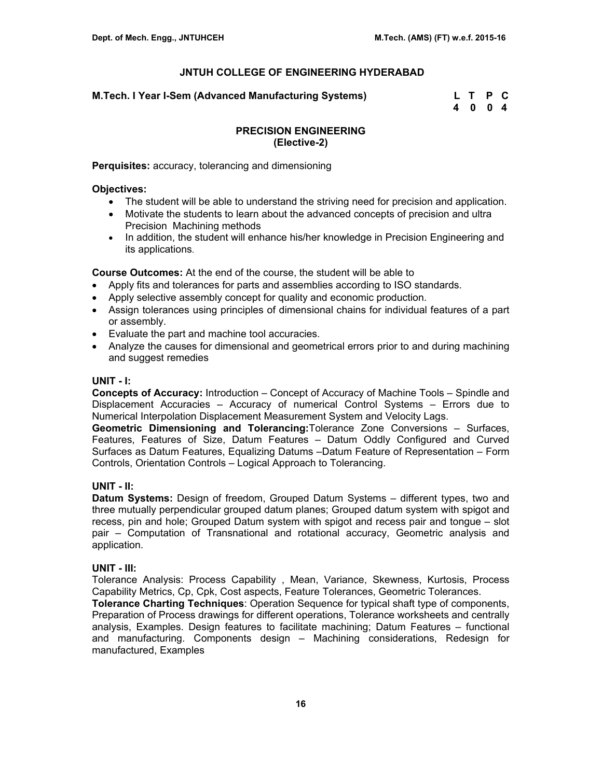**M.Tech. I Year I-Sem (Advanced Manufacturing Systems) L T P C** 

 **4 0 0 4** 

# **PRECISION ENGINEERING (Elective-2)**

**Perquisites:** accuracy, tolerancing and dimensioning

#### **Objectives:**

- The student will be able to understand the striving need for precision and application.
- Motivate the students to learn about the advanced concepts of precision and ultra Precision Machining methods
- In addition, the student will enhance his/her knowledge in Precision Engineering and its applications.

**Course Outcomes:** At the end of the course, the student will be able to

- Apply fits and tolerances for parts and assemblies according to ISO standards.
- Apply selective assembly concept for quality and economic production.
- Assign tolerances using principles of dimensional chains for individual features of a part or assembly.
- Evaluate the part and machine tool accuracies.
- Analyze the causes for dimensional and geometrical errors prior to and during machining and suggest remedies

# **UNIT - I:**

**Concepts of Accuracy:** Introduction – Concept of Accuracy of Machine Tools – Spindle and Displacement Accuracies – Accuracy of numerical Control Systems – Errors due to Numerical Interpolation Displacement Measurement System and Velocity Lags.

**Geometric Dimensioning and Tolerancing:**Tolerance Zone Conversions – Surfaces, Features, Features of Size, Datum Features – Datum Oddly Configured and Curved Surfaces as Datum Features, Equalizing Datums –Datum Feature of Representation – Form Controls, Orientation Controls – Logical Approach to Tolerancing.

# **UNIT - II:**

**Datum Systems:** Design of freedom, Grouped Datum Systems – different types, two and three mutually perpendicular grouped datum planes; Grouped datum system with spigot and recess, pin and hole; Grouped Datum system with spigot and recess pair and tongue – slot pair – Computation of Transnational and rotational accuracy, Geometric analysis and application.

# **UNIT - III:**

Tolerance Analysis: Process Capability , Mean, Variance, Skewness, Kurtosis, Process Capability Metrics, Cp, Cpk, Cost aspects, Feature Tolerances, Geometric Tolerances.

**Tolerance Charting Techniques**: Operation Sequence for typical shaft type of components, Preparation of Process drawings for different operations, Tolerance worksheets and centrally analysis, Examples. Design features to facilitate machining; Datum Features – functional and manufacturing. Components design – Machining considerations, Redesign for manufactured, Examples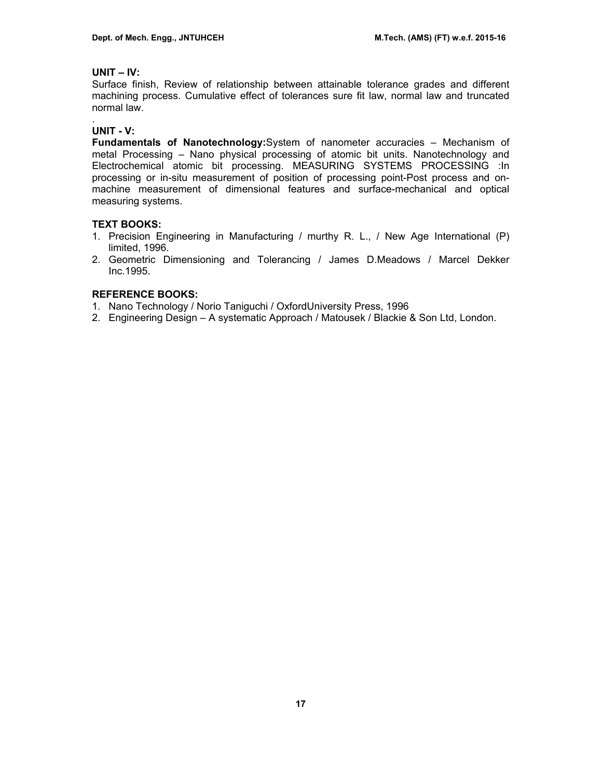# **UNIT – IV:**

Surface finish, Review of relationship between attainable tolerance grades and different machining process. Cumulative effect of tolerances sure fit law, normal law and truncated normal law.

#### . **UNIT - V:**

**Fundamentals of Nanotechnology:**System of nanometer accuracies – Mechanism of metal Processing – Nano physical processing of atomic bit units. Nanotechnology and Electrochemical atomic bit processing. MEASURING SYSTEMS PROCESSING :In processing or in-situ measurement of position of processing point-Post process and onmachine measurement of dimensional features and surface-mechanical and optical measuring systems.

# **TEXT BOOKS:**

- 1. Precision Engineering in Manufacturing / murthy R. L., / New Age International (P) limited, 1996.
- 2. Geometric Dimensioning and Tolerancing / James D.Meadows / Marcel Dekker Inc.1995.

# **REFERENCE BOOKS:**

- 1. Nano Technology / Norio Taniguchi / OxfordUniversity Press, 1996
- 2. Engineering Design A systematic Approach / Matousek / Blackie & Son Ltd, London.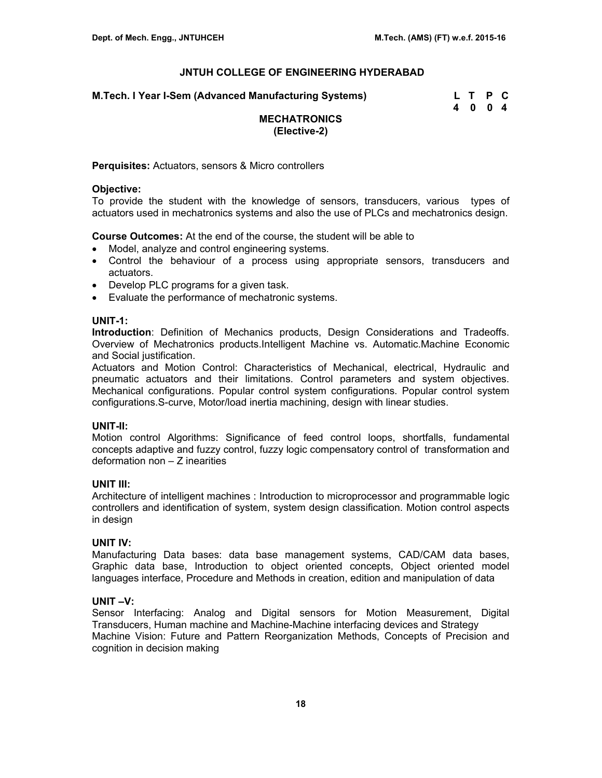**M.Tech. I Year I-Sem (Advanced Manufacturing Systems) L T P C** 

 **4 0 0 4** 

# **MECHATRONICS (Elective-2)**

**Perquisites:** Actuators, sensors & Micro controllers

#### **Objective:**

To provide the student with the knowledge of sensors, transducers, various types of actuators used in mechatronics systems and also the use of PLCs and mechatronics design.

**Course Outcomes:** At the end of the course, the student will be able to

- Model, analyze and control engineering systems.
- Control the behaviour of a process using appropriate sensors, transducers and actuators.
- Develop PLC programs for a given task.
- Evaluate the performance of mechatronic systems.

# **UNIT-1:**

**Introduction**: Definition of Mechanics products, Design Considerations and Tradeoffs. Overview of Mechatronics products.Intelligent Machine vs. Automatic.Machine Economic and Social justification.

Actuators and Motion Control: Characteristics of Mechanical, electrical, Hydraulic and pneumatic actuators and their limitations. Control parameters and system objectives. Mechanical configurations. Popular control system configurations. Popular control system configurations.S-curve, Motor/load inertia machining, design with linear studies.

# **UNIT-II:**

Motion control Algorithms: Significance of feed control loops, shortfalls, fundamental concepts adaptive and fuzzy control, fuzzy logic compensatory control of transformation and deformation non – Z inearities

# **UNIT III:**

Architecture of intelligent machines : Introduction to microprocessor and programmable logic controllers and identification of system, system design classification. Motion control aspects in design

# **UNIT IV:**

Manufacturing Data bases: data base management systems, CAD/CAM data bases, Graphic data base, Introduction to object oriented concepts, Object oriented model languages interface, Procedure and Methods in creation, edition and manipulation of data

# **UNIT –V:**

Sensor Interfacing: Analog and Digital sensors for Motion Measurement, Digital Transducers, Human machine and Machine-Machine interfacing devices and Strategy Machine Vision: Future and Pattern Reorganization Methods, Concepts of Precision and cognition in decision making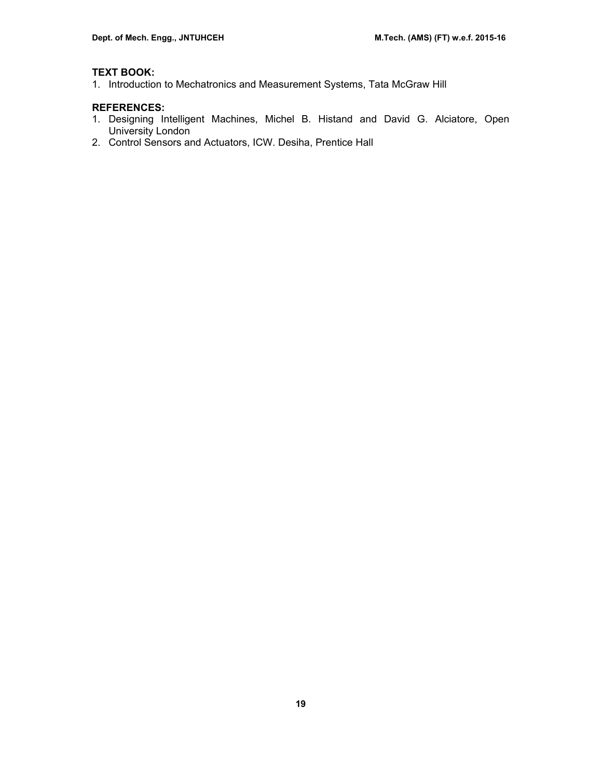# **TEXT BOOK:**

1. Introduction to Mechatronics and Measurement Systems, Tata McGraw Hill

# **REFERENCES:**

- 1. Designing Intelligent Machines, Michel B. Histand and David G. Alciatore, Open University London
- 2. Control Sensors and Actuators, ICW. Desiha, Prentice Hall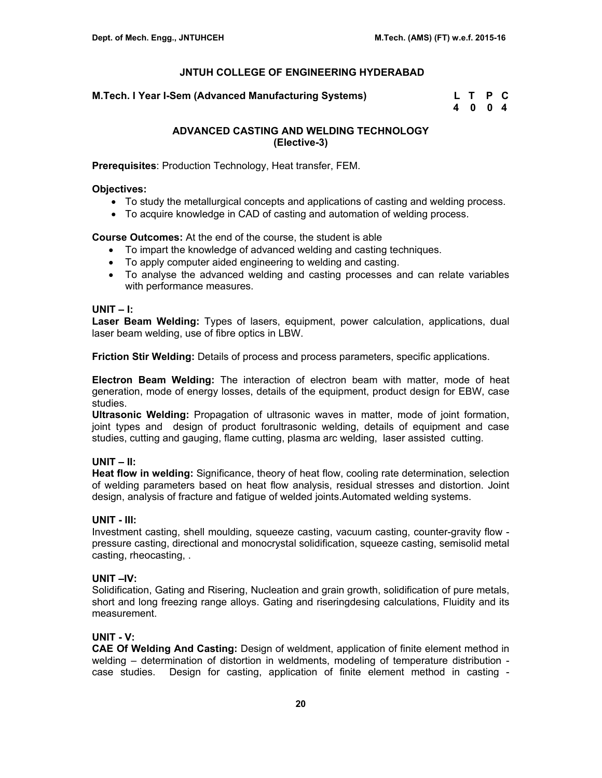**M.Tech. I Year I-Sem (Advanced Manufacturing Systems)** 

| M.Tech. I Year I-Sem (Advanced Manufacturing Systems) | L T P C |  |
|-------------------------------------------------------|---------|--|
|                                                       | 4 0 0 4 |  |

# **ADVANCED CASTING AND WELDING TECHNOLOGY (Elective-3)**

**Prerequisites**: Production Technology, Heat transfer, FEM.

### **Objectives:**

- To study the metallurgical concepts and applications of casting and welding process.
- To acquire knowledge in CAD of casting and automation of welding process.

# **Course Outcomes:** At the end of the course, the student is able

- To impart the knowledge of advanced welding and casting techniques.
- To apply computer aided engineering to welding and casting.
- To analyse the advanced welding and casting processes and can relate variables with performance measures.

#### **UNIT – I:**

**Laser Beam Welding:** Types of lasers, equipment, power calculation, applications, dual laser beam welding, use of fibre optics in LBW.

**Friction Stir Welding:** Details of process and process parameters, specific applications.

**Electron Beam Welding:** The interaction of electron beam with matter, mode of heat generation, mode of energy losses, details of the equipment, product design for EBW, case studies.

**Ultrasonic Welding:** Propagation of ultrasonic waves in matter, mode of joint formation, joint types and design of product forultrasonic welding, details of equipment and case studies, cutting and gauging, flame cutting, plasma arc welding, laser assisted cutting.

# **UNIT – II:**

**Heat flow in welding:** Significance, theory of heat flow, cooling rate determination, selection of welding parameters based on heat flow analysis, residual stresses and distortion. Joint design, analysis of fracture and fatigue of welded joints.Automated welding systems.

# **UNIT - III:**

Investment casting, shell moulding, squeeze casting, vacuum casting, counter-gravity flow pressure casting, directional and monocrystal solidification, squeeze casting, semisolid metal casting, rheocasting, .

# **UNIT –IV:**

Solidification, Gating and Risering, Nucleation and grain growth, solidification of pure metals, short and long freezing range alloys. Gating and riseringdesing calculations, Fluidity and its measurement.

# **UNIT - V:**

**CAE Of Welding And Casting:** Design of weldment, application of finite element method in welding – determination of distortion in weldments, modeling of temperature distribution case studies. Design for casting, application of finite element method in casting -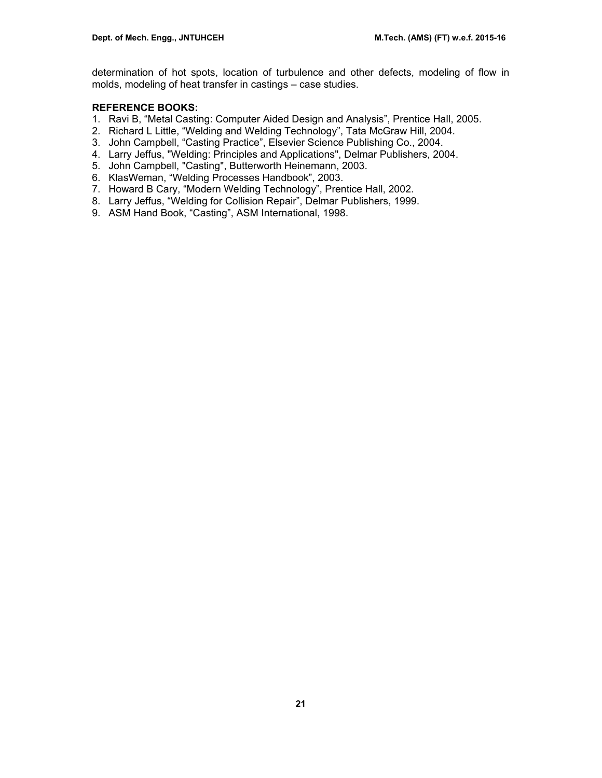determination of hot spots, location of turbulence and other defects, modeling of flow in molds, modeling of heat transfer in castings – case studies.

# **REFERENCE BOOKS:**

- 1. Ravi B, "Metal Casting: Computer Aided Design and Analysis", Prentice Hall, 2005.
- 2. Richard L Little, "Welding and Welding Technology", Tata McGraw Hill, 2004.
- 3. John Campbell, "Casting Practice", Elsevier Science Publishing Co., 2004.
- 4. Larry Jeffus, "Welding: Principles and Applications", Delmar Publishers, 2004.
- 5. John Campbell, "Casting", Butterworth Heinemann, 2003.
- 6. KlasWeman, "Welding Processes Handbook", 2003.
- 7. Howard B Cary, "Modern Welding Technology", Prentice Hall, 2002.
- 8. Larry Jeffus, "Welding for Collision Repair", Delmar Publishers, 1999.
- 9. ASM Hand Book, "Casting", ASM International, 1998.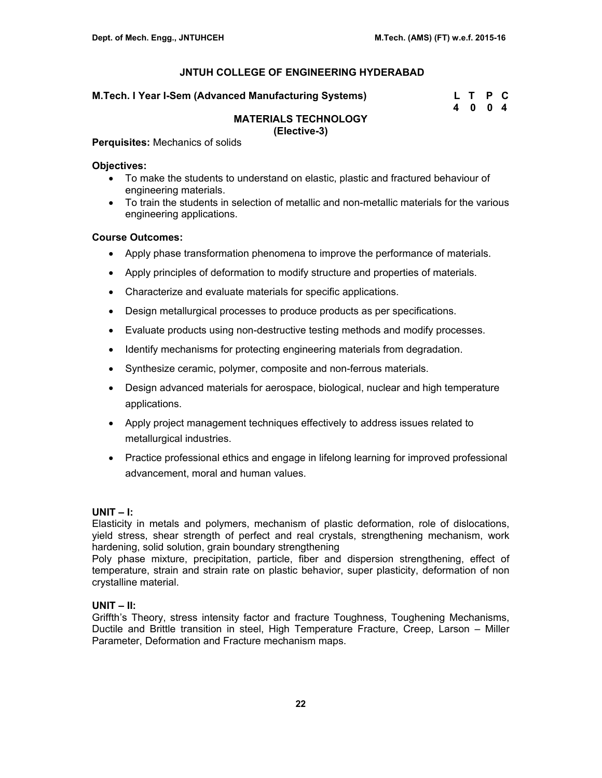| M.Tech. I Year I-Sem (Advanced Manufacturing Systems) | L T P C |  |
|-------------------------------------------------------|---------|--|
|                                                       |         |  |

| M.Tech. I Year I-Sem (Advanced Manufacturing Systems) | L T P C |  |
|-------------------------------------------------------|---------|--|
|                                                       | 4004    |  |

#### **MATERIALS TECHNOLOGY (Elective-3)**

#### **Perquisites:** Mechanics of solids

#### **Objectives:**

- To make the students to understand on elastic, plastic and fractured behaviour of engineering materials.
- To train the students in selection of metallic and non-metallic materials for the various engineering applications.

# **Course Outcomes:**

- Apply phase transformation phenomena to improve the performance of materials.
- Apply principles of deformation to modify structure and properties of materials.
- Characterize and evaluate materials for specific applications.
- Design metallurgical processes to produce products as per specifications.
- Evaluate products using non-destructive testing methods and modify processes.
- Identify mechanisms for protecting engineering materials from degradation.
- Synthesize ceramic, polymer, composite and non-ferrous materials.
- Design advanced materials for aerospace, biological, nuclear and high temperature applications.
- Apply project management techniques effectively to address issues related to metallurgical industries.
- Practice professional ethics and engage in lifelong learning for improved professional advancement, moral and human values.

#### **UNIT – I:**

Elasticity in metals and polymers, mechanism of plastic deformation, role of dislocations, yield stress, shear strength of perfect and real crystals, strengthening mechanism, work hardening, solid solution, grain boundary strengthening

Poly phase mixture, precipitation, particle, fiber and dispersion strengthening, effect of temperature, strain and strain rate on plastic behavior, super plasticity, deformation of non crystalline material.

# **UNIT – II:**

Griffth's Theory, stress intensity factor and fracture Toughness, Toughening Mechanisms, Ductile and Brittle transition in steel, High Temperature Fracture, Creep, Larson – Miller Parameter, Deformation and Fracture mechanism maps.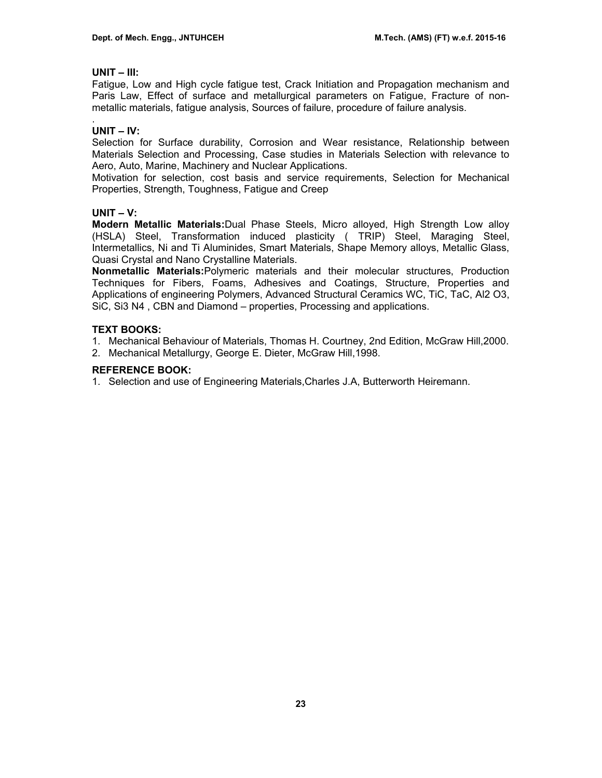# **UNIT – III:**

Fatigue, Low and High cycle fatigue test, Crack Initiation and Propagation mechanism and Paris Law, Effect of surface and metallurgical parameters on Fatigue, Fracture of nonmetallic materials, fatigue analysis, Sources of failure, procedure of failure analysis.

#### . **UNIT – IV:**

Selection for Surface durability, Corrosion and Wear resistance, Relationship between Materials Selection and Processing, Case studies in Materials Selection with relevance to Aero, Auto, Marine, Machinery and Nuclear Applications.

Motivation for selection, cost basis and service requirements, Selection for Mechanical Properties, Strength, Toughness, Fatigue and Creep

# **UNIT – V:**

**Modern Metallic Materials:**Dual Phase Steels, Micro alloyed, High Strength Low alloy (HSLA) Steel, Transformation induced plasticity ( TRIP) Steel, Maraging Steel, Intermetallics, Ni and Ti Aluminides, Smart Materials, Shape Memory alloys, Metallic Glass, Quasi Crystal and Nano Crystalline Materials.

**Nonmetallic Materials:**Polymeric materials and their molecular structures, Production Techniques for Fibers, Foams, Adhesives and Coatings, Structure, Properties and Applications of engineering Polymers, Advanced Structural Ceramics WC, TiC, TaC, Al2 O3, SiC, Si3 N4 , CBN and Diamond – properties, Processing and applications.

# **TEXT BOOKS:**

1. Mechanical Behaviour of Materials, Thomas H. Courtney, 2nd Edition, McGraw Hill,2000.

2. Mechanical Metallurgy, George E. Dieter, McGraw Hill,1998.

# **REFERENCE BOOK:**

1. Selection and use of Engineering Materials,Charles J.A, Butterworth Heiremann.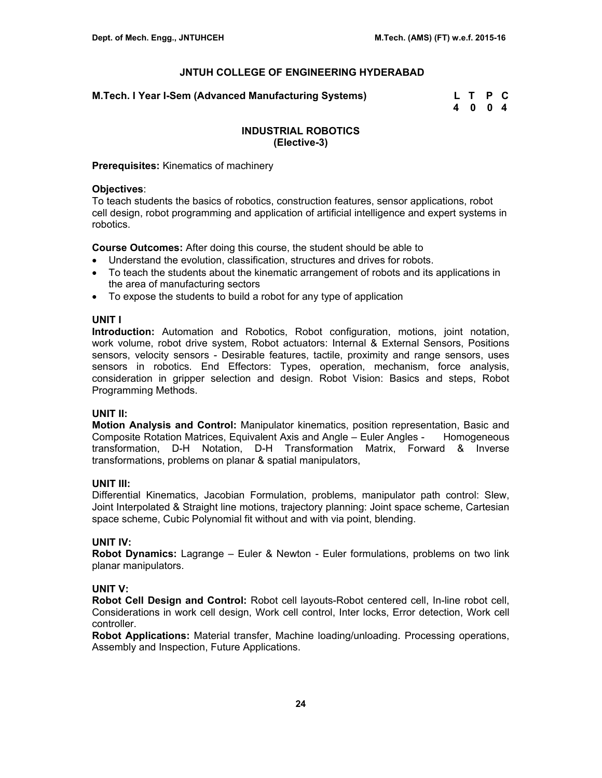**M.Tech. I Year I-Sem (Advanced Manufacturing Systems) L T P C** 

 **4 0 0 4** 

# **INDUSTRIAL ROBOTICS (Elective-3)**

**Prerequisites:** Kinematics of machinery

### **Objectives**:

To teach students the basics of robotics, construction features, sensor applications, robot cell design, robot programming and application of artificial intelligence and expert systems in robotics.

**Course Outcomes:** After doing this course, the student should be able to

- Understand the evolution, classification, structures and drives for robots.
- To teach the students about the kinematic arrangement of robots and its applications in the area of manufacturing sectors
- To expose the students to build a robot for any type of application

# **UNIT I**

**Introduction:** Automation and Robotics, Robot configuration, motions, joint notation, work volume, robot drive system, Robot actuators: Internal & External Sensors, Positions sensors, velocity sensors - Desirable features, tactile, proximity and range sensors, uses sensors in robotics. End Effectors: Types, operation, mechanism, force analysis, consideration in gripper selection and design. Robot Vision: Basics and steps, Robot Programming Methods.

# **UNIT II:**

**Motion Analysis and Control:** Manipulator kinematics, position representation, Basic and Composite Rotation Matrices, Equivalent Axis and Angle – Euler Angles - Homogeneous transformation, D-H Notation, D-H Transformation Matrix, Forward & Inverse transformations, problems on planar & spatial manipulators,

# **UNIT III:**

Differential Kinematics, Jacobian Formulation, problems, manipulator path control: Slew, Joint Interpolated & Straight line motions, trajectory planning: Joint space scheme, Cartesian space scheme, Cubic Polynomial fit without and with via point, blending.

# **UNIT IV:**

**Robot Dynamics:** Lagrange – Euler & Newton - Euler formulations, problems on two link planar manipulators.

# **UNIT V:**

**Robot Cell Design and Control:** Robot cell layouts-Robot centered cell, In-line robot cell, Considerations in work cell design, Work cell control, Inter locks, Error detection, Work cell controller.

**Robot Applications:** Material transfer, Machine loading/unloading. Processing operations, Assembly and Inspection, Future Applications.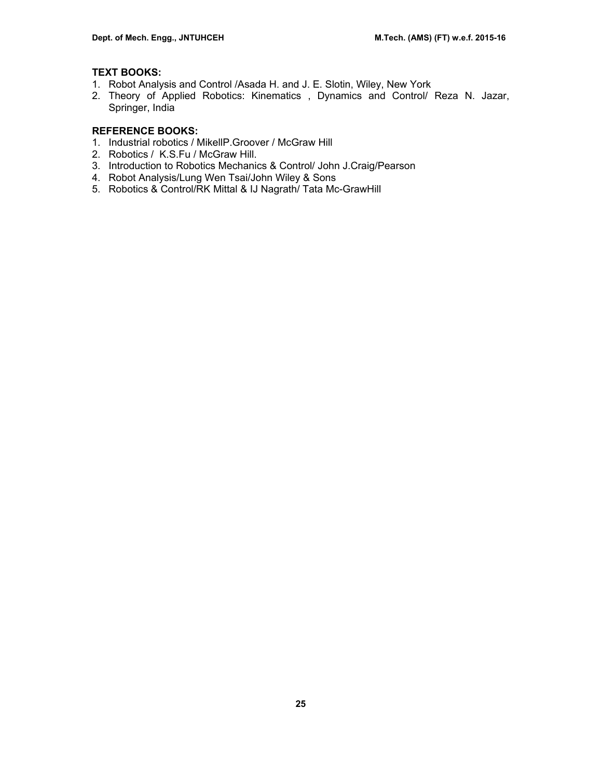# **TEXT BOOKS:**

- 1. Robot Analysis and Control /Asada H. and J. E. Slotin, Wiley, New York
- 2. Theory of Applied Robotics: Kinematics , Dynamics and Control/ Reza N. Jazar, Springer, India

# **REFERENCE BOOKS:**

- 1. Industrial robotics / MikellP.Groover / McGraw Hill
- 2. Robotics / K.S.Fu / McGraw Hill.
- 3. Introduction to Robotics Mechanics & Control/ John J.Craig/Pearson
- 4. Robot Analysis/Lung Wen Tsai/John Wiley & Sons
- 5. Robotics & Control/RK Mittal & IJ Nagrath/ Tata Mc-GrawHill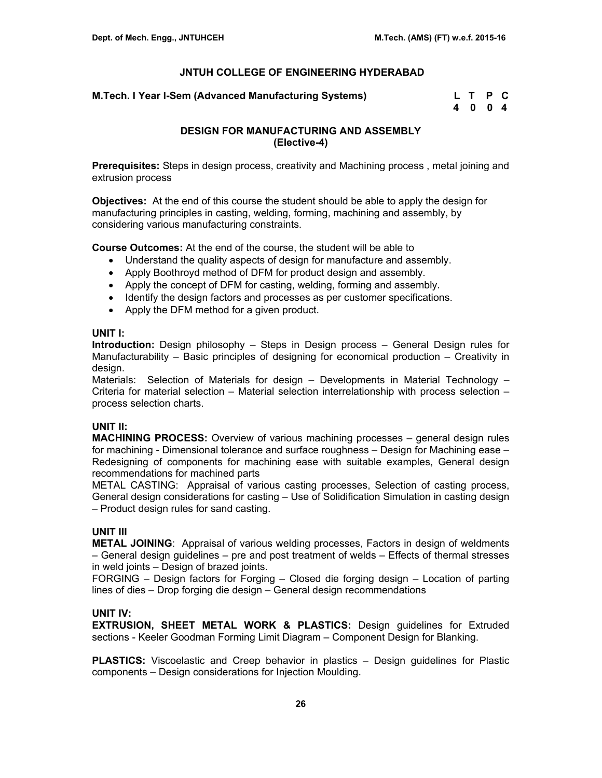### **M.Tech. I Year I-Sem (Advanced Manufacturing Systems)**

| M.Tech. I Year I-Sem (Advanced Manufacturing Systems) | L T P C |  |
|-------------------------------------------------------|---------|--|
|                                                       | 4004    |  |

# **DESIGN FOR MANUFACTURING AND ASSEMBLY (Elective-4)**

**Prerequisites:** Steps in design process, creativity and Machining process , metal joining and extrusion process

**Objectives:** At the end of this course the student should be able to apply the design for manufacturing principles in casting, welding, forming, machining and assembly, by considering various manufacturing constraints.

**Course Outcomes:** At the end of the course, the student will be able to

- Understand the quality aspects of design for manufacture and assembly.
- Apply Boothroyd method of DFM for product design and assembly.
- Apply the concept of DFM for casting, welding, forming and assembly.
- Identify the design factors and processes as per customer specifications.
- Apply the DFM method for a given product.

# **UNIT I:**

**Introduction:** Design philosophy – Steps in Design process – General Design rules for Manufacturability – Basic principles of designing for economical production – Creativity in design.

Materials: Selection of Materials for design – Developments in Material Technology – Criteria for material selection – Material selection interrelationship with process selection – process selection charts.

# **UNIT II:**

**MACHINING PROCESS:** Overview of various machining processes – general design rules for machining - Dimensional tolerance and surface roughness – Design for Machining ease – Redesigning of components for machining ease with suitable examples, General design recommendations for machined parts

METAL CASTING: Appraisal of various casting processes, Selection of casting process, General design considerations for casting – Use of Solidification Simulation in casting design – Product design rules for sand casting.

# **UNIT III**

**METAL JOINING**: Appraisal of various welding processes, Factors in design of weldments – General design guidelines – pre and post treatment of welds – Effects of thermal stresses in weld joints – Design of brazed joints.

FORGING – Design factors for Forging – Closed die forging design – Location of parting lines of dies – Drop forging die design – General design recommendations

# **UNIT IV:**

**EXTRUSION, SHEET METAL WORK & PLASTICS:** Design guidelines for Extruded sections - Keeler Goodman Forming Limit Diagram – Component Design for Blanking.

**PLASTICS:** Viscoelastic and Creep behavior in plastics – Design guidelines for Plastic components – Design considerations for Injection Moulding.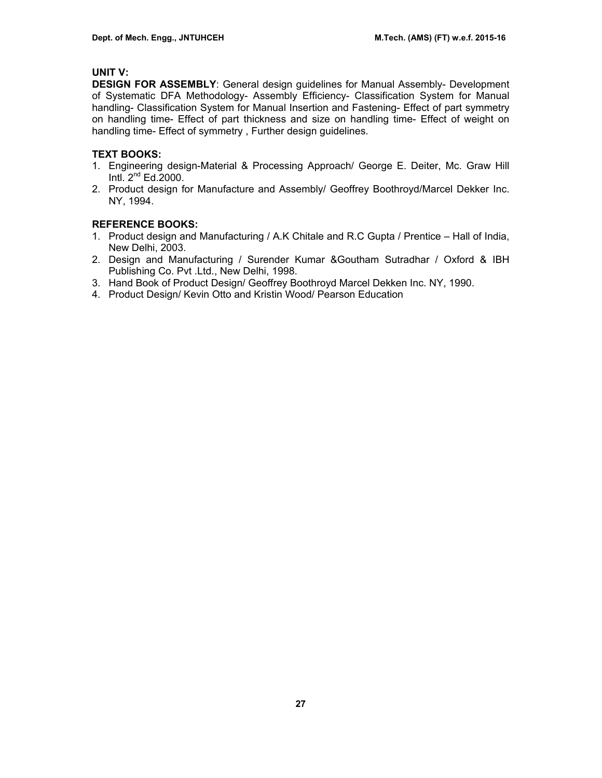# **UNIT V:**

**DESIGN FOR ASSEMBLY**: General design guidelines for Manual Assembly- Development of Systematic DFA Methodology- Assembly Efficiency- Classification System for Manual handling- Classification System for Manual Insertion and Fastening- Effect of part symmetry on handling time- Effect of part thickness and size on handling time- Effect of weight on handling time- Effect of symmetry , Further design guidelines.

# **TEXT BOOKS:**

- 1. Engineering design-Material & Processing Approach/ George E. Deiter, Mc. Graw Hill Intl.  $2<sup>nd</sup> Ed.2000$ .
- 2. Product design for Manufacture and Assembly/ Geoffrey Boothroyd/Marcel Dekker Inc. NY, 1994.

# **REFERENCE BOOKS:**

- 1. Product design and Manufacturing / A.K Chitale and R.C Gupta / Prentice Hall of India, New Delhi, 2003.
- 2. Design and Manufacturing / Surender Kumar &Goutham Sutradhar / Oxford & IBH Publishing Co. Pvt .Ltd., New Delhi, 1998.
- 3. Hand Book of Product Design/ Geoffrey Boothroyd Marcel Dekken Inc. NY, 1990.
- 4. Product Design/ Kevin Otto and Kristin Wood/ Pearson Education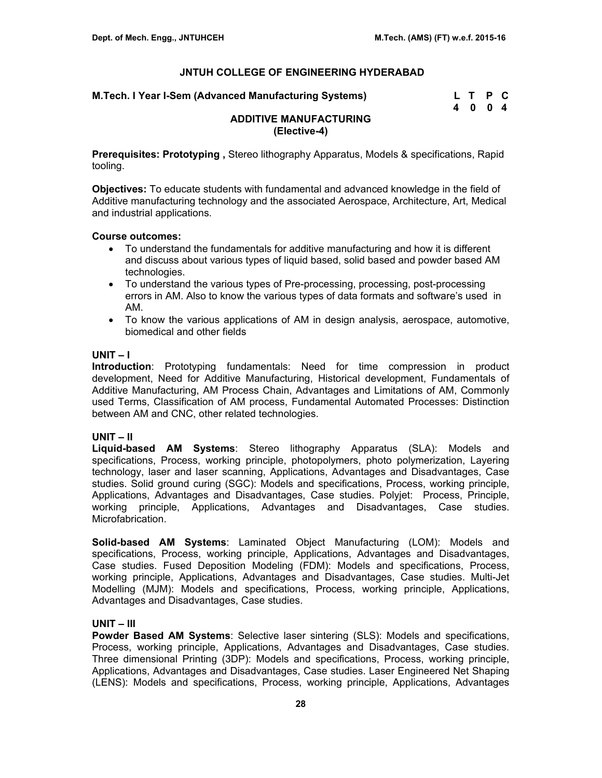| M.Tech. I Year I-Sem (Advanced Manufacturing Systems) | L T P C |      |  |
|-------------------------------------------------------|---------|------|--|
|                                                       |         | 4004 |  |

# **ADDITIVE MANUFACTURING (Elective-4)**

**Prerequisites: Prototyping ,** Stereo lithography Apparatus, Models & specifications, Rapid tooling.

**Objectives:** To educate students with fundamental and advanced knowledge in the field of Additive manufacturing technology and the associated Aerospace, Architecture, Art, Medical and industrial applications.

#### **Course outcomes:**

- To understand the fundamentals for additive manufacturing and how it is different and discuss about various types of liquid based, solid based and powder based AM technologies.
- To understand the various types of Pre-processing, processing, post-processing errors in AM. Also to know the various types of data formats and software's used in AM.
- To know the various applications of AM in design analysis, aerospace, automotive, biomedical and other fields

#### **UNIT – I**

**Introduction**: Prototyping fundamentals: Need for time compression in product development, Need for Additive Manufacturing, Historical development, Fundamentals of Additive Manufacturing, AM Process Chain, Advantages and Limitations of AM, Commonly used Terms, Classification of AM process, Fundamental Automated Processes: Distinction between AM and CNC, other related technologies.

# **UNIT – II**

**Liquid-based AM Systems**: Stereo lithography Apparatus (SLA): Models and specifications, Process, working principle, photopolymers, photo polymerization, Layering technology, laser and laser scanning, Applications, Advantages and Disadvantages, Case studies. Solid ground curing (SGC): Models and specifications, Process, working principle, Applications, Advantages and Disadvantages, Case studies. Polyjet: Process, Principle, working principle, Applications, Advantages and Disadvantages, Case studies. Microfabrication.

**Solid-based AM Systems**: Laminated Object Manufacturing (LOM): Models and specifications, Process, working principle, Applications, Advantages and Disadvantages, Case studies. Fused Deposition Modeling (FDM): Models and specifications, Process, working principle, Applications, Advantages and Disadvantages, Case studies. Multi-Jet Modelling (MJM): Models and specifications, Process, working principle, Applications, Advantages and Disadvantages, Case studies.

# **UNIT – III**

**Powder Based AM Systems**: Selective laser sintering (SLS): Models and specifications, Process, working principle, Applications, Advantages and Disadvantages, Case studies. Three dimensional Printing (3DP): Models and specifications, Process, working principle, Applications, Advantages and Disadvantages, Case studies. Laser Engineered Net Shaping (LENS): Models and specifications, Process, working principle, Applications, Advantages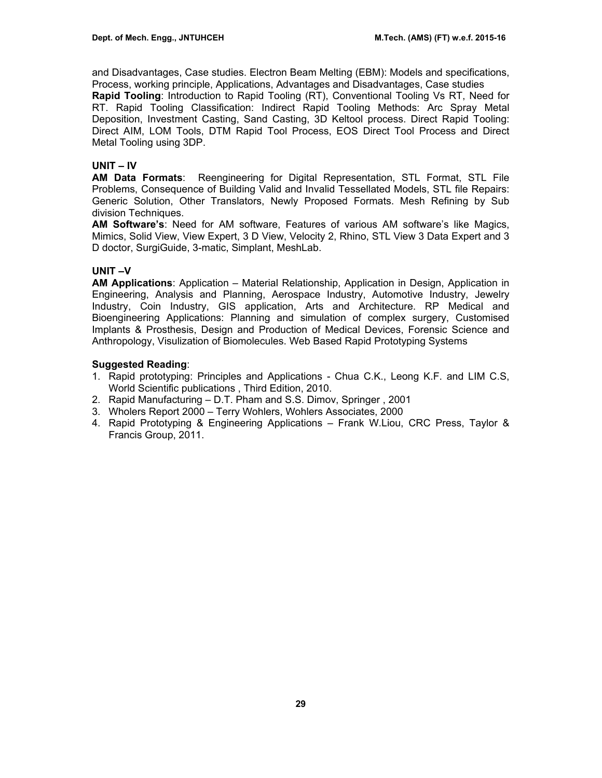and Disadvantages, Case studies. Electron Beam Melting (EBM): Models and specifications, Process, working principle, Applications, Advantages and Disadvantages, Case studies

**Rapid Tooling**: Introduction to Rapid Tooling (RT), Conventional Tooling Vs RT, Need for RT. Rapid Tooling Classification: Indirect Rapid Tooling Methods: Arc Spray Metal Deposition, Investment Casting, Sand Casting, 3D Keltool process. Direct Rapid Tooling: Direct AIM, LOM Tools, DTM Rapid Tool Process, EOS Direct Tool Process and Direct Metal Tooling using 3DP.

# **UNIT – IV**

**AM Data Formats**: Reengineering for Digital Representation, STL Format, STL File Problems, Consequence of Building Valid and Invalid Tessellated Models, STL file Repairs: Generic Solution, Other Translators, Newly Proposed Formats. Mesh Refining by Sub division Techniques.

**AM Software's**: Need for AM software, Features of various AM software's like Magics, Mimics, Solid View, View Expert, 3 D View, Velocity 2, Rhino, STL View 3 Data Expert and 3 D doctor, SurgiGuide, 3-matic, Simplant, MeshLab.

# **UNIT –V**

**AM Applications**: Application – Material Relationship, Application in Design, Application in Engineering, Analysis and Planning, Aerospace Industry, Automotive Industry, Jewelry Industry, Coin Industry, GIS application, Arts and Architecture. RP Medical and Bioengineering Applications: Planning and simulation of complex surgery, Customised Implants & Prosthesis, Design and Production of Medical Devices, Forensic Science and Anthropology, Visulization of Biomolecules. Web Based Rapid Prototyping Systems

# **Suggested Reading**:

- 1. Rapid prototyping: Principles and Applications Chua C.K., Leong K.F. and LIM C.S, World Scientific publications , Third Edition, 2010.
- 2. Rapid Manufacturing D.T. Pham and S.S. Dimov, Springer , 2001
- 3. Wholers Report 2000 Terry Wohlers, Wohlers Associates, 2000
- 4. Rapid Prototyping & Engineering Applications Frank W.Liou, CRC Press, Taylor & Francis Group, 2011.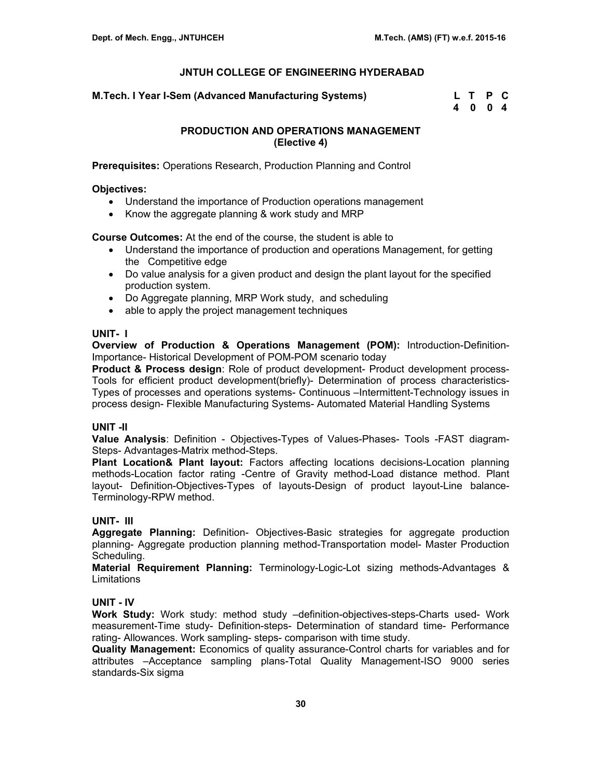**M.Tech. I Year I-Sem (Advanced Manufacturing Systems)** 

| M.Tech. I Year I-Sem (Advanced Manutacturing Systems) | L T P C |  |
|-------------------------------------------------------|---------|--|
|                                                       | 4 0 0 4 |  |

# **PRODUCTION AND OPERATIONS MANAGEMENT (Elective 4)**

**Prerequisites:** Operations Research, Production Planning and Control

### **Objectives:**

- Understand the importance of Production operations management
- Know the aggregate planning & work study and MRP

**Course Outcomes:** At the end of the course, the student is able to

- Understand the importance of production and operations Management, for getting the Competitive edge
- Do value analysis for a given product and design the plant layout for the specified production system.
- Do Aggregate planning, MRP Work study, and scheduling
- able to apply the project management techniques

# **UNIT- I**

**Overview of Production & Operations Management (POM):** Introduction-Definition-Importance- Historical Development of POM-POM scenario today

**Product & Process design**: Role of product development- Product development process-Tools for efficient product development(briefly)- Determination of process characteristics-Types of processes and operations systems- Continuous –Intermittent-Technology issues in process design- Flexible Manufacturing Systems- Automated Material Handling Systems

# **UNIT -II**

**Value Analysis**: Definition - Objectives-Types of Values-Phases- Tools -FAST diagram-Steps- Advantages-Matrix method-Steps.

**Plant Location& Plant layout:** Factors affecting locations decisions-Location planning methods-Location factor rating -Centre of Gravity method-Load distance method. Plant layout- Definition-Objectives-Types of layouts-Design of product layout-Line balance-Terminology-RPW method.

# **UNIT- III**

**Aggregate Planning:** Definition- Objectives-Basic strategies for aggregate production planning- Aggregate production planning method-Transportation model- Master Production Scheduling.

**Material Requirement Planning:** Terminology-Logic-Lot sizing methods-Advantages & **Limitations** 

# **UNIT - IV**

**Work Study:** Work study: method study –definition-objectives-steps-Charts used- Work measurement-Time study- Definition-steps- Determination of standard time- Performance rating- Allowances. Work sampling- steps- comparison with time study.

**Quality Management:** Economics of quality assurance-Control charts for variables and for attributes –Acceptance sampling plans-Total Quality Management-ISO 9000 series standards-Six sigma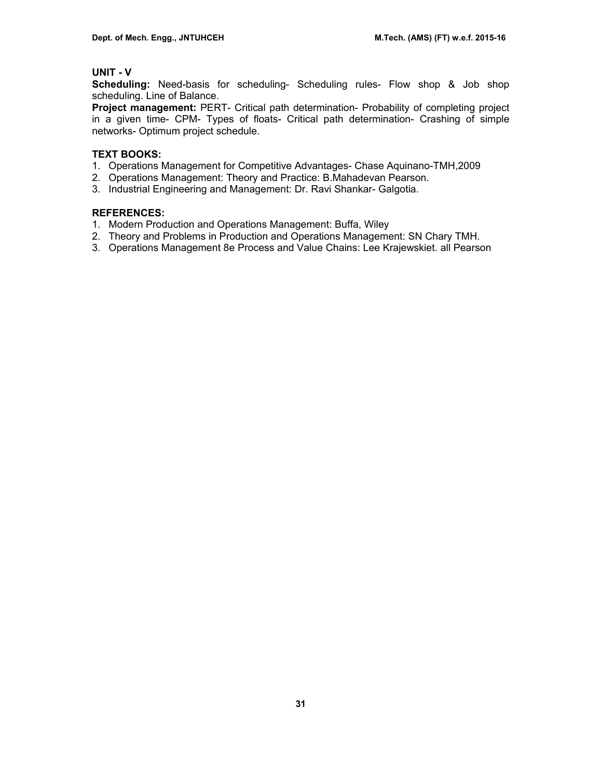# **UNIT - V**

**Scheduling:** Need-basis for scheduling- Scheduling rules- Flow shop & Job shop scheduling. Line of Balance.

**Project management:** PERT- Critical path determination- Probability of completing project in a given time- CPM- Types of floats- Critical path determination- Crashing of simple networks- Optimum project schedule.

# **TEXT BOOKS:**

- 1. Operations Management for Competitive Advantages- Chase Aquinano-TMH,2009
- 2. Operations Management: Theory and Practice: B.Mahadevan Pearson.
- 3. Industrial Engineering and Management: Dr. Ravi Shankar- Galgotia.

# **REFERENCES:**

- 1. Modern Production and Operations Management: Buffa, Wiley
- 2. Theory and Problems in Production and Operations Management: SN Chary TMH.
- 3. Operations Management 8e Process and Value Chains: Lee Krajewskiet. all Pearson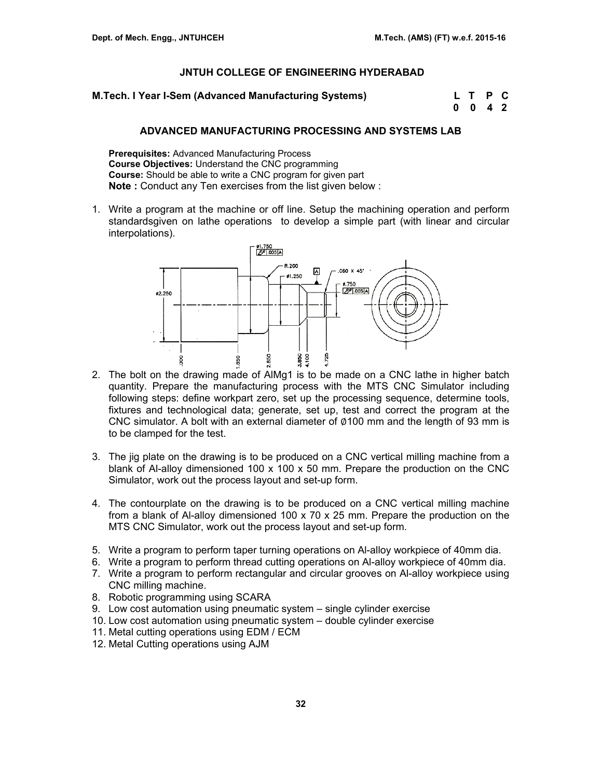**M.Tech. I Year I-Sem (Advanced Manufacturing Systems) L T P C** 

 **0 0 4 2** 

### **ADVANCED MANUFACTURING PROCESSING AND SYSTEMS LAB**

**Prerequisites:** Advanced Manufacturing Process **Course Objectives:** Understand the CNC programming **Course:** Should be able to write a CNC program for given part **Note :** Conduct any Ten exercises from the list given below :

1. Write a program at the machine or off line. Setup the machining operation and perform standardsgiven on lathe operations to develop a simple part (with linear and circular interpolations).



- 2. The bolt on the drawing made of AlMg1 is to be made on a CNC lathe in higher batch quantity. Prepare the manufacturing process with the MTS CNC Simulator including following steps: define workpart zero, set up the processing sequence, determine tools, fixtures and technological data; generate, set up, test and correct the program at the CNC simulator. A bolt with an external diameter of  $\varnothing$ 100 mm and the length of 93 mm is to be clamped for the test.
- 3. The jig plate on the drawing is to be produced on a CNC vertical milling machine from a blank of Al-alloy dimensioned 100 x 100 x 50 mm. Prepare the production on the CNC Simulator, work out the process layout and set-up form.
- 4. The contourplate on the drawing is to be produced on a CNC vertical milling machine from a blank of Al-alloy dimensioned 100 x 70 x 25 mm. Prepare the production on the MTS CNC Simulator, work out the process layout and set-up form.
- 5. Write a program to perform taper turning operations on Al-alloy workpiece of 40mm dia.
- 6. Write a program to perform thread cutting operations on Al-alloy workpiece of 40mm dia.
- 7. Write a program to perform rectangular and circular grooves on Al-alloy workpiece using CNC milling machine.
- 8. Robotic programming using SCARA
- 9. Low cost automation using pneumatic system single cylinder exercise
- 10. Low cost automation using pneumatic system double cylinder exercise
- 11. Metal cutting operations using EDM / ECM
- 12. Metal Cutting operations using AJM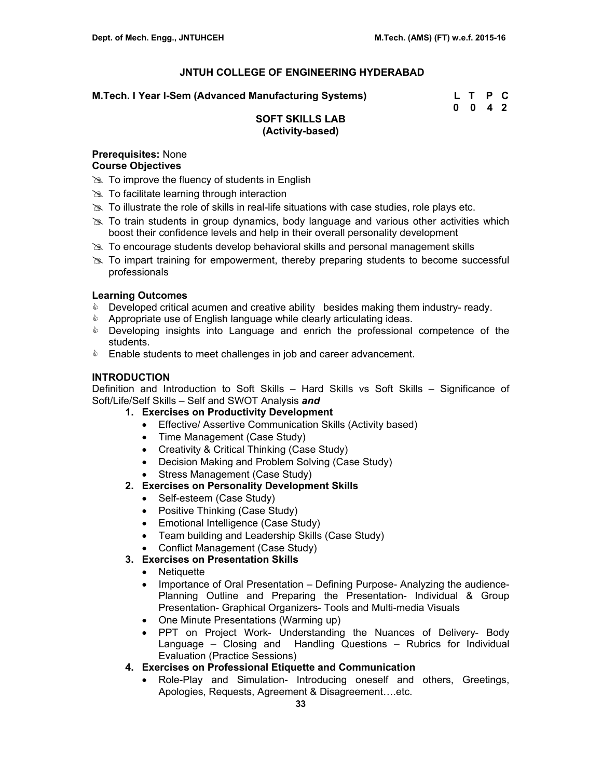**M.Tech. I Year I-Sem (Advanced Manufacturing Systems) L T P C** 

 **0 0 4 2** 

# **SOFT SKILLS LAB (Activity-based)**

# **Prerequisites:** None

# **Course Objectives**

- $\gg$  To improve the fluency of students in English
- $\gg$  To facilitate learning through interaction
- $\gg$  To illustrate the role of skills in real-life situations with case studies, role plays etc.
- $\geq$  To train students in group dynamics, body language and various other activities which boost their confidence levels and help in their overall personality development
- $\geq$  To encourage students develop behavioral skills and personal management skills
- $\gg$  To impart training for empowerment, thereby preparing students to become successful professionals

# **Learning Outcomes**

- **Developed critical acumen and creative ability besides making them industry- ready.**
- **&** Appropriate use of English language while clearly articulating ideas.
- **EXE** Developing insights into Language and enrich the professional competence of the students.
- **Enable students to meet challenges in job and career advancement.**

# **INTRODUCTION**

Definition and Introduction to Soft Skills – Hard Skills vs Soft Skills – Significance of Soft/Life/Self Skills – Self and SWOT Analysis *and*

- **1. Exercises on Productivity Development** 
	- Effective/ Assertive Communication Skills (Activity based)
	- Time Management (Case Study)
	- Creativity & Critical Thinking (Case Study)
	- Decision Making and Problem Solving (Case Study)
	- Stress Management (Case Study)

# **2. Exercises on Personality Development Skills**

- Self-esteem (Case Study)
- Positive Thinking (Case Study)
- Emotional Intelligence (Case Study)
- Team building and Leadership Skills (Case Study)
- Conflict Management (Case Study)
- **3. Exercises on Presentation Skills** 
	- Netiquette
	- Importance of Oral Presentation Defining Purpose- Analyzing the audience-Planning Outline and Preparing the Presentation- Individual & Group Presentation- Graphical Organizers- Tools and Multi-media Visuals
	- One Minute Presentations (Warming up)
	- PPT on Project Work- Understanding the Nuances of Delivery- Body Language – Closing and Handling Questions – Rubrics for Individual Evaluation (Practice Sessions)
- **4. Exercises on Professional Etiquette and Communication** 
	- Role-Play and Simulation- Introducing oneself and others, Greetings, Apologies, Requests, Agreement & Disagreement….etc.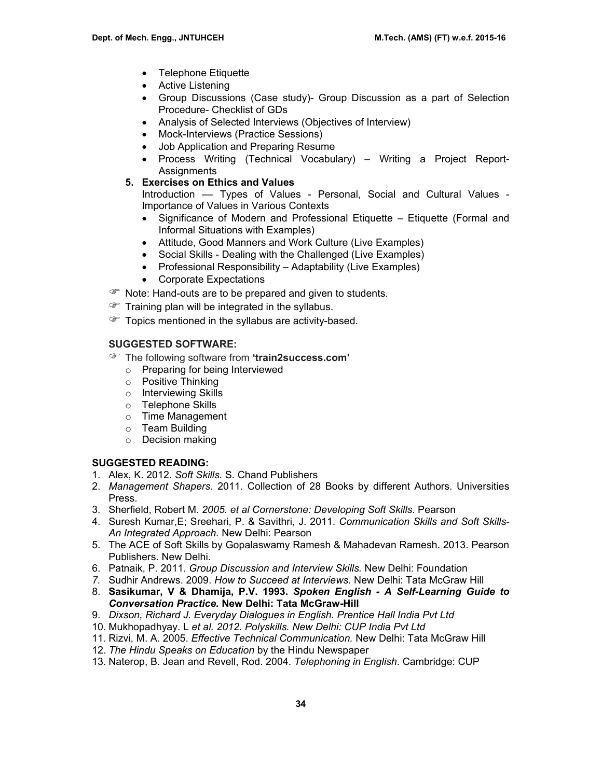- Telephone Etiquette
- Active Listening
- Group Discussions (Case study)- Group Discussion as a part of Selection Procedure- Checklist of GDs
- Analysis of Selected Interviews (Objectives of Interview)
- Mock-Interviews (Practice Sessions)
- Job Application and Preparing Resume
- Process Writing (Technical Vocabulary) Writing a Project Report-Assignments
- **5. Exercises on Ethics and Values**

Introduction –– Types of Values - Personal, Social and Cultural Values - Importance of Values in Various Contexts

- Significance of Modern and Professional Etiquette Etiquette (Formal and Informal Situations with Examples)
- Attitude, Good Manners and Work Culture (Live Examples)
- Social Skills Dealing with the Challenged (Live Examples)
- Professional Responsibility Adaptability (Live Examples)
- Corporate Expectations
- **P** Note: Hand-outs are to be prepared and given to students.
- $\mathcal{F}$  Training plan will be integrated in the syllabus.
- Topics mentioned in the syllabus are activity-based.

# **SUGGESTED SOFTWARE:**

- ) The following software from **'train2success.com'** 
	- o Preparing for being Interviewed
	- o Positive Thinking
	- o Interviewing Skills
	- o Telephone Skills
	- o Time Management
	- o Team Building
	- o Decision making

# **SUGGESTED READING:**

- 1. Alex, K. 2012. *Soft Skills.* S. Chand Publishers
- 2. *Management Shapers*. 2011. Collection of 28 Books by different Authors. Universities Press.
- 3. Sherfield, Robert M. *2005. et al Cornerstone: Developing Soft Skills*. Pearson
- 4. Suresh Kumar,E; Sreehari, P. & Savithri, J. 2011. *Communication Skills and Soft Skills-An Integrated Approach.* New Delhi: Pearson
- 5. The ACE of Soft Skills by Gopalaswamy Ramesh & Mahadevan Ramesh. 2013. Pearson Publishers. New Delhi.
- 6. Patnaik, P. 2011. *Group Discussion and Interview Skills.* New Delhi: Foundation
- *7.* Sudhir Andrews. 2009. *How to Succeed at Interviews.* New Delhi: Tata McGraw Hill
- 8. **Sasikumar, V & Dhamija, P.V. 1993.** *Spoken English A Self-Learning Guide to Conversation Practice.* **New Delhi: Tata McGraw-Hill**
- 9. *Dixson, Richard J. Everyday Dialogues in English. Prentice Hall India Pvt Ltd*
- 10. Mukhopadhyay. L *et al. 2012. Polyskills. New Delhi: CUP India Pvt Ltd*
- 11. Rizvi, M. A. 2005. *Effective Technical Communication.* New Delhi: Tata McGraw Hill
- 12. *The Hindu Speaks on Education* by the Hindu Newspaper
- 13. Naterop, B. Jean and Revell, Rod. 2004. *Telephoning in English*. Cambridge: CUP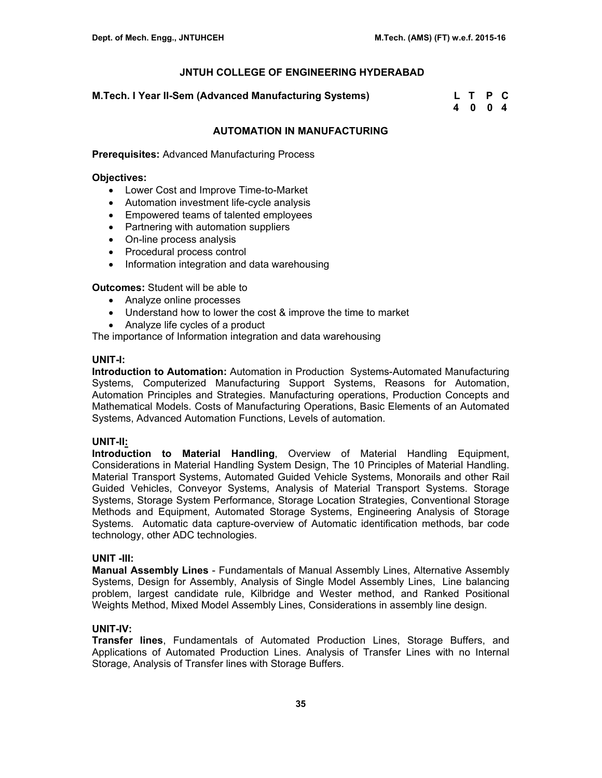#### **M.Tech. I Year II-Sem (Advanced Manufacturing Systems) L T P C**

 **4 0 0 4** 

### **AUTOMATION IN MANUFACTURING**

**Prerequisites:** Advanced Manufacturing Process

#### **Objectives:**

- Lower Cost and Improve Time-to-Market
- Automation investment life-cycle analysis
- Empowered teams of talented employees
- Partnering with automation suppliers
- On-line process analysis
- Procedural process control
- Information integration and data warehousing

**Outcomes:** Student will be able to

- Analyze online processes
- Understand how to lower the cost & improve the time to market
- Analyze life cycles of a product

The importance of Information integration and data warehousing

#### **UNIT-I:**

**Introduction to Automation:** Automation in Production Systems-Automated Manufacturing Systems, Computerized Manufacturing Support Systems, Reasons for Automation, Automation Principles and Strategies. Manufacturing operations, Production Concepts and Mathematical Models. Costs of Manufacturing Operations, Basic Elements of an Automated Systems, Advanced Automation Functions, Levels of automation.

#### **UNIT-II:**

**Introduction to Material Handling**, Overview of Material Handling Equipment, Considerations in Material Handling System Design, The 10 Principles of Material Handling. Material Transport Systems, Automated Guided Vehicle Systems, Monorails and other Rail Guided Vehicles, Conveyor Systems, Analysis of Material Transport Systems. Storage Systems, Storage System Performance, Storage Location Strategies, Conventional Storage Methods and Equipment, Automated Storage Systems, Engineering Analysis of Storage Systems. Automatic data capture-overview of Automatic identification methods, bar code technology, other ADC technologies.

#### **UNIT -III:**

**Manual Assembly Lines** - Fundamentals of Manual Assembly Lines, Alternative Assembly Systems, Design for Assembly, Analysis of Single Model Assembly Lines, Line balancing problem, largest candidate rule, Kilbridge and Wester method, and Ranked Positional Weights Method, Mixed Model Assembly Lines, Considerations in assembly line design.

# **UNIT-IV:**

**Transfer lines**, Fundamentals of Automated Production Lines, Storage Buffers, and Applications of Automated Production Lines. Analysis of Transfer Lines with no Internal Storage, Analysis of Transfer lines with Storage Buffers.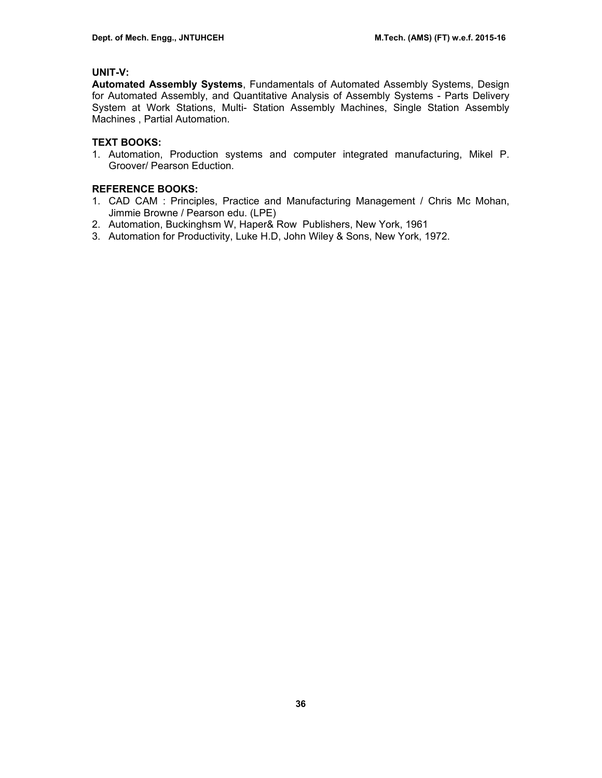# **UNIT-V:**

**Automated Assembly Systems**, Fundamentals of Automated Assembly Systems, Design for Automated Assembly, and Quantitative Analysis of Assembly Systems - Parts Delivery System at Work Stations, Multi- Station Assembly Machines, Single Station Assembly Machines , Partial Automation.

# **TEXT BOOKS:**

1. Automation, Production systems and computer integrated manufacturing, Mikel P. Groover/ Pearson Eduction.

# **REFERENCE BOOKS:**

- 1. CAD CAM : Principles, Practice and Manufacturing Management / Chris Mc Mohan, Jimmie Browne / Pearson edu. (LPE)
- 2. Automation, Buckinghsm W, Haper& Row Publishers, New York, 1961
- 3. Automation for Productivity, Luke H.D, John Wiley & Sons, New York, 1972.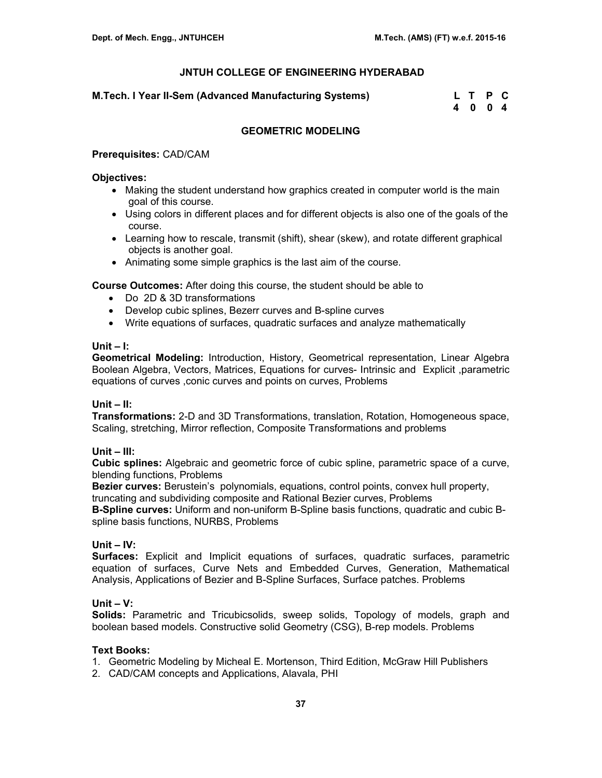### **M.Tech. I Year II-Sem (Advanced Manufacturing Systems)**

| M.Tech. I Year II-Sem (Advanced Manufacturing Systems) | L T P C |  |
|--------------------------------------------------------|---------|--|
|                                                        | 4004    |  |

# **GEOMETRIC MODELING**

#### **Prerequisites:** CAD/CAM

#### **Objectives:**

- Making the student understand how graphics created in computer world is the main goal of this course.
- Using colors in different places and for different objects is also one of the goals of the course.
- Learning how to rescale, transmit (shift), shear (skew), and rotate different graphical objects is another goal.
- Animating some simple graphics is the last aim of the course.

**Course Outcomes:** After doing this course, the student should be able to

- Do 2D & 3D transformations
- Develop cubic splines, Bezerr curves and B-spline curves
- Write equations of surfaces, quadratic surfaces and analyze mathematically

#### **Unit – I:**

**Geometrical Modeling:** Introduction, History, Geometrical representation, Linear Algebra Boolean Algebra, Vectors, Matrices, Equations for curves- Intrinsic and Explicit ,parametric equations of curves ,conic curves and points on curves, Problems

# **Unit – II:**

**Transformations:** 2-D and 3D Transformations, translation, Rotation, Homogeneous space, Scaling, stretching, Mirror reflection, Composite Transformations and problems

# **Unit – III:**

**Cubic splines:** Algebraic and geometric force of cubic spline, parametric space of a curve, blending functions, Problems

**Bezier curves:** Berustein's polynomials, equations, control points, convex hull property, truncating and subdividing composite and Rational Bezier curves, Problems

**B-Spline curves:** Uniform and non-uniform B-Spline basis functions, quadratic and cubic Bspline basis functions, NURBS, Problems

# **Unit – IV:**

**Surfaces:** Explicit and Implicit equations of surfaces, quadratic surfaces, parametric equation of surfaces, Curve Nets and Embedded Curves, Generation, Mathematical Analysis, Applications of Bezier and B-Spline Surfaces, Surface patches. Problems

# **Unit – V:**

**Solids:** Parametric and Tricubicsolids, sweep solids, Topology of models, graph and boolean based models. Constructive solid Geometry (CSG), B-rep models. Problems

#### **Text Books:**

- 1. Geometric Modeling by Micheal E. Mortenson, Third Edition, McGraw Hill Publishers
- 2. CAD/CAM concepts and Applications, Alavala, PHI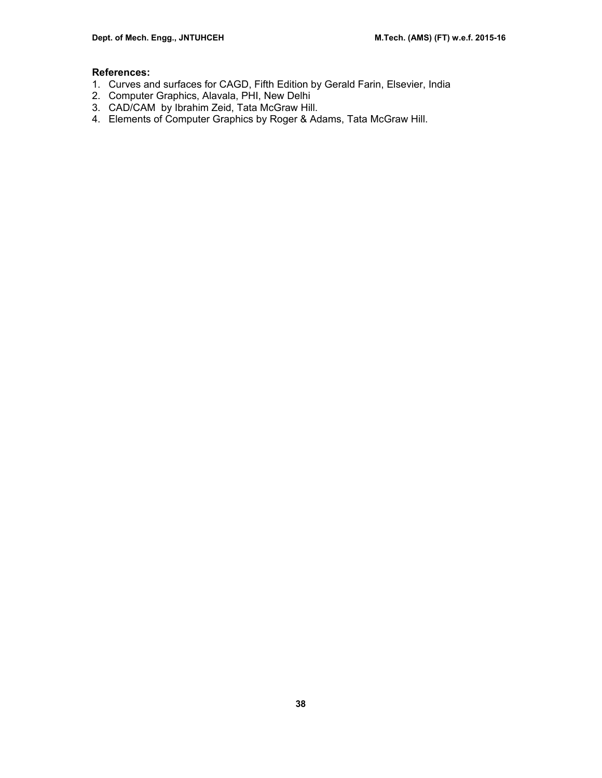# **References:**

- 1. Curves and surfaces for CAGD, Fifth Edition by Gerald Farin, Elsevier, India
- 2. Computer Graphics, Alavala, PHI, New Delhi
- 3. CAD/CAM by Ibrahim Zeid, Tata McGraw Hill.
- 4. Elements of Computer Graphics by Roger & Adams, Tata McGraw Hill.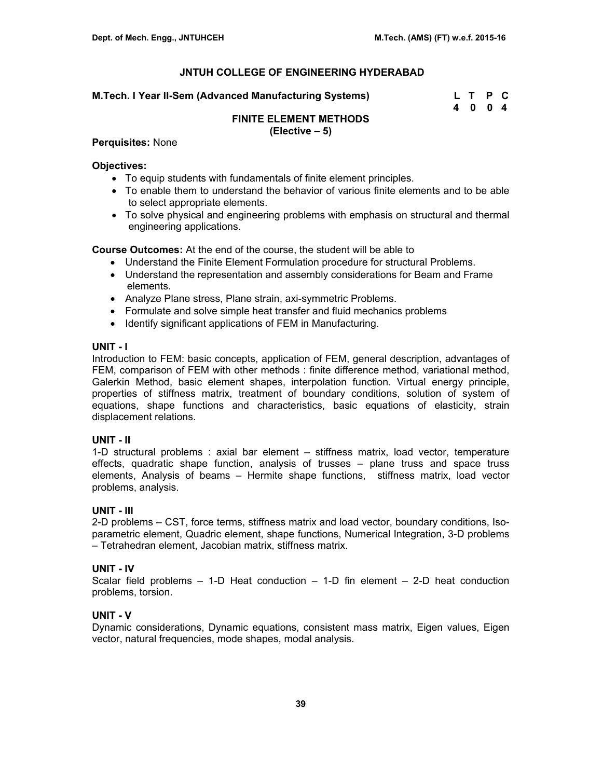### **M.Tech. I Year II-Sem (Advanced Manufacturing Systems)**

| M.Tech. I Year II-Sem (Advanced Manufacturing Systems) | L T P C |  |
|--------------------------------------------------------|---------|--|
|                                                        | 4004    |  |

#### **FINITE ELEMENT METHODS (Elective – 5)**

#### **Perquisites:** None

#### **Objectives:**

- To equip students with fundamentals of finite element principles.
- To enable them to understand the behavior of various finite elements and to be able to select appropriate elements.
- To solve physical and engineering problems with emphasis on structural and thermal engineering applications.

**Course Outcomes:** At the end of the course, the student will be able to

- Understand the Finite Element Formulation procedure for structural Problems.
- Understand the representation and assembly considerations for Beam and Frame elements.
- Analyze Plane stress, Plane strain, axi-symmetric Problems.
- Formulate and solve simple heat transfer and fluid mechanics problems
- Identify significant applications of FEM in Manufacturing.

# **UNIT - I**

Introduction to FEM: basic concepts, application of FEM, general description, advantages of FEM, comparison of FEM with other methods : finite difference method, variational method, Galerkin Method, basic element shapes, interpolation function. Virtual energy principle, properties of stiffness matrix, treatment of boundary conditions, solution of system of equations, shape functions and characteristics, basic equations of elasticity, strain displacement relations.

# **UNIT - II**

1-D structural problems : axial bar element – stiffness matrix, load vector, temperature effects, quadratic shape function, analysis of trusses – plane truss and space truss elements, Analysis of beams – Hermite shape functions, stiffness matrix, load vector problems, analysis.

# **UNIT - III**

2-D problems – CST, force terms, stiffness matrix and load vector, boundary conditions, Isoparametric element, Quadric element, shape functions, Numerical Integration, 3-D problems – Tetrahedran element, Jacobian matrix, stiffness matrix.

# **UNIT - IV**

Scalar field problems – 1-D Heat conduction – 1-D fin element – 2-D heat conduction problems, torsion.

# **UNIT - V**

Dynamic considerations, Dynamic equations, consistent mass matrix, Eigen values, Eigen vector, natural frequencies, mode shapes, modal analysis.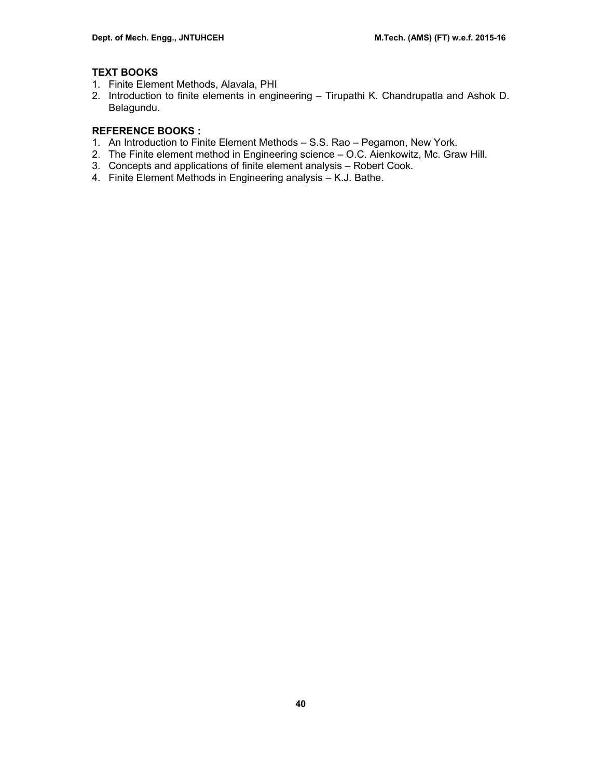# **TEXT BOOKS**

- 1. Finite Element Methods, Alavala, PHI
- 2. Introduction to finite elements in engineering Tirupathi K. Chandrupatla and Ashok D. Belagundu.

# **REFERENCE BOOKS :**

- 1. An Introduction to Finite Element Methods S.S. Rao Pegamon, New York.
- 2. The Finite element method in Engineering science O.C. Aienkowitz, Mc. Graw Hill.
- 3. Concepts and applications of finite element analysis Robert Cook.
- 4. Finite Element Methods in Engineering analysis K.J. Bathe.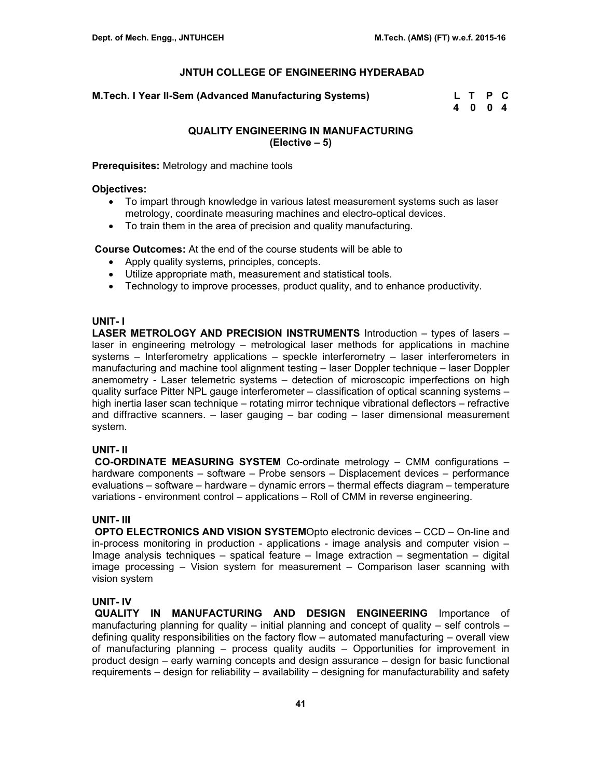**M.Tech. I Year II-Sem (Advanced Manufacturing Systems)** 

| M.Tech. I Year II-Sem (Advanced Manufacturing Systems) | L T P C |  |
|--------------------------------------------------------|---------|--|
|                                                        | 4 0 0 4 |  |

# **QUALITY ENGINEERING IN MANUFACTURING (Elective – 5)**

**Prerequisites:** Metrology and machine tools

#### **Objectives:**

- To impart through knowledge in various latest measurement systems such as laser metrology, coordinate measuring machines and electro-optical devices.
- To train them in the area of precision and quality manufacturing.

 **Course Outcomes:** At the end of the course students will be able to

- Apply quality systems, principles, concepts,
- Utilize appropriate math, measurement and statistical tools.
- Technology to improve processes, product quality, and to enhance productivity.

# **UNIT- I**

**LASER METROLOGY AND PRECISION INSTRUMENTS** Introduction – types of lasers – laser in engineering metrology – metrological laser methods for applications in machine systems – Interferometry applications – speckle interferometry – laser interferometers in manufacturing and machine tool alignment testing – laser Doppler technique – laser Doppler anemometry - Laser telemetric systems – detection of microscopic imperfections on high quality surface Pitter NPL gauge interferometer – classification of optical scanning systems – high inertia laser scan technique – rotating mirror technique vibrational deflectors – refractive and diffractive scanners. – laser gauging – bar coding – laser dimensional measurement system.

# **UNIT- II**

 **CO-ORDINATE MEASURING SYSTEM** Co-ordinate metrology – CMM configurations – hardware components – software – Probe sensors – Displacement devices – performance evaluations – software – hardware – dynamic errors – thermal effects diagram – temperature variations - environment control – applications – Roll of CMM in reverse engineering.

# **UNIT- III**

 **OPTO ELECTRONICS AND VISION SYSTEM**Opto electronic devices – CCD – On-line and in-process monitoring in production - applications - image analysis and computer vision – Image analysis techniques – spatical feature – Image extraction – segmentation – digital image processing – Vision system for measurement – Comparison laser scanning with vision system

# **UNIT- IV**

 **QUALITY IN MANUFACTURING AND DESIGN ENGINEERING** Importance of manufacturing planning for quality – initial planning and concept of quality – self controls – defining quality responsibilities on the factory flow – automated manufacturing – overall view of manufacturing planning – process quality audits – Opportunities for improvement in product design – early warning concepts and design assurance – design for basic functional requirements – design for reliability – availability – designing for manufacturability and safety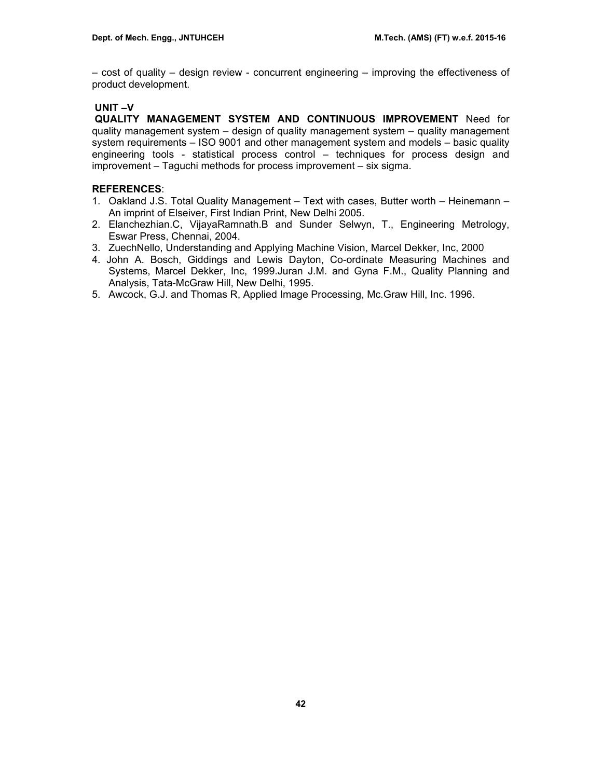– cost of quality – design review - concurrent engineering – improving the effectiveness of product development.

# **UNIT –V**

 **QUALITY MANAGEMENT SYSTEM AND CONTINUOUS IMPROVEMENT** Need for quality management system – design of quality management system – quality management system requirements – ISO 9001 and other management system and models – basic quality engineering tools - statistical process control – techniques for process design and improvement – Taguchi methods for process improvement – six sigma.

# **REFERENCES**:

- 1. Oakland J.S. Total Quality Management Text with cases, Butter worth Heinemann An imprint of Elseiver, First Indian Print, New Delhi 2005.
- 2. Elanchezhian.C, VijayaRamnath.B and Sunder Selwyn, T., Engineering Metrology, Eswar Press, Chennai, 2004.
- 3. ZuechNello, Understanding and Applying Machine Vision, Marcel Dekker, Inc, 2000
- 4. John A. Bosch, Giddings and Lewis Dayton, Co-ordinate Measuring Machines and Systems, Marcel Dekker, Inc, 1999.Juran J.M. and Gyna F.M., Quality Planning and Analysis, Tata-McGraw Hill, New Delhi, 1995.
- 5. Awcock, G.J. and Thomas R, Applied Image Processing, Mc.Graw Hill, Inc. 1996.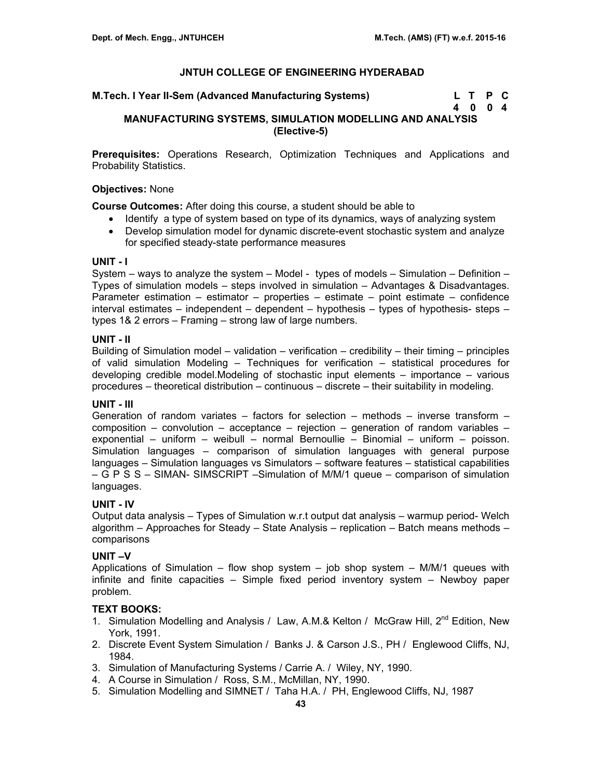| M.Tech. I Year II-Sem (Advanced Manufacturing Systems) | L T P C |  |
|--------------------------------------------------------|---------|--|
|                                                        | 4004    |  |

# **MANUFACTURING SYSTEMS, SIMULATION MODELLING AND ANALYSIS (Elective-5)**

**Prerequisites:** Operations Research, Optimization Techniques and Applications and Probability Statistics.

#### **Objectives:** None

**Course Outcomes:** After doing this course, a student should be able to

- Identify a type of system based on type of its dynamics, ways of analyzing system
- Develop simulation model for dynamic discrete-event stochastic system and analyze for specified steady-state performance measures

#### **UNIT - I**

System – ways to analyze the system – Model - types of models – Simulation – Definition – Types of simulation models – steps involved in simulation – Advantages & Disadvantages. Parameter estimation – estimator – properties – estimate – point estimate – confidence interval estimates – independent – dependent – hypothesis – types of hypothesis- steps – types 1& 2 errors – Framing – strong law of large numbers.

# **UNIT - II**

Building of Simulation model – validation – verification – credibility – their timing – principles of valid simulation Modeling – Techniques for verification – statistical procedures for developing credible model.Modeling of stochastic input elements – importance – various procedures – theoretical distribution – continuous – discrete – their suitability in modeling.

# **UNIT - III**

Generation of random variates – factors for selection – methods – inverse transform – composition – convolution – acceptance – rejection – generation of random variables – exponential – uniform – weibull – normal Bernoullie – Binomial – uniform – poisson. Simulation languages – comparison of simulation languages with general purpose languages – Simulation languages vs Simulators – software features – statistical capabilities – G P S S – SIMAN- SIMSCRIPT –Simulation of M/M/1 queue – comparison of simulation languages.

# **UNIT - IV**

Output data analysis – Types of Simulation w.r.t output dat analysis – warmup period- Welch algorithm – Approaches for Steady – State Analysis – replication – Batch means methods – comparisons

# **UNIT –V**

Applications of Simulation – flow shop system – job shop system –  $M/M/1$  queues with infinite and finite capacities – Simple fixed period inventory system – Newboy paper problem.

# **TEXT BOOKS:**

- 1. Simulation Modelling and Analysis / Law, A.M.& Kelton / McGraw Hill, 2<sup>nd</sup> Edition, New York, 1991.
- 2. Discrete Event System Simulation / Banks J. & Carson J.S., PH / Englewood Cliffs, NJ, 1984.
- 3. Simulation of Manufacturing Systems / Carrie A. / Wiley, NY, 1990.
- 4. A Course in Simulation / Ross, S.M., McMillan, NY, 1990.
- 5. Simulation Modelling and SIMNET / Taha H.A. / PH, Englewood Cliffs, NJ, 1987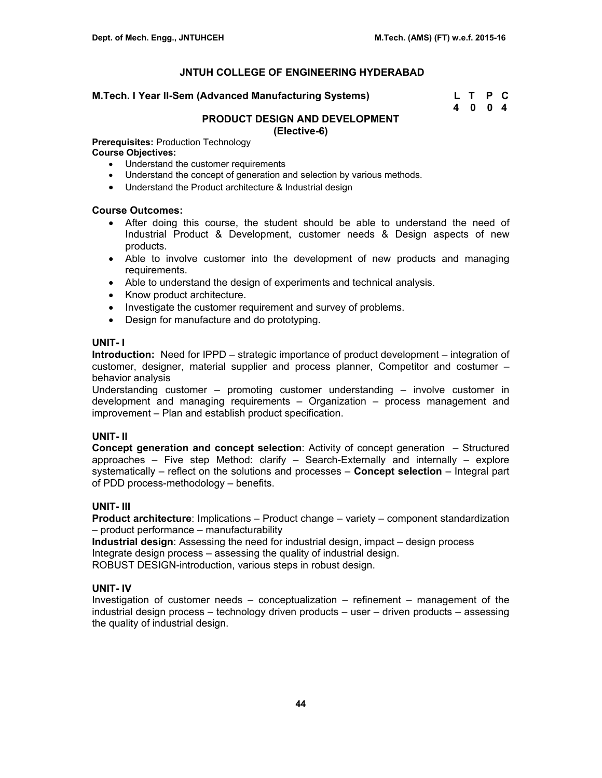#### **M.Tech. I Year II-Sem (Advanced Manufacturing Systems)**

| M.Tech. I Year II-Sem (Advanced Manufacturing Systems) | L T P C |  |
|--------------------------------------------------------|---------|--|
|                                                        | 4004    |  |

### **PRODUCT DESIGN AND DEVELOPMENT (Elective-6)**

**Prerequisites:** Production Technology

#### **Course Objectives:**

- Understand the customer requirements
- Understand the concept of generation and selection by various methods.
- Understand the Product architecture & Industrial design

#### **Course Outcomes:**

- After doing this course, the student should be able to understand the need of Industrial Product & Development, customer needs & Design aspects of new products.
- Able to involve customer into the development of new products and managing requirements.
- Able to understand the design of experiments and technical analysis.
- Know product architecture.
- Investigate the customer requirement and survey of problems.
- Design for manufacture and do prototyping.

# **UNIT- I**

**Introduction:** Need for IPPD – strategic importance of product development – integration of customer, designer, material supplier and process planner, Competitor and costumer – behavior analysis

Understanding customer – promoting customer understanding – involve customer in development and managing requirements – Organization – process management and improvement – Plan and establish product specification.

#### **UNIT- II**

**Concept generation and concept selection**: Activity of concept generation – Structured approaches – Five step Method: clarify – Search-Externally and internally – explore systematically – reflect on the solutions and processes – **Concept selection** – Integral part of PDD process-methodology – benefits.

#### **UNIT- III**

**Product architecture**: Implications – Product change – variety – component standardization – product performance – manufacturability

**Industrial design**: Assessing the need for industrial design, impact – design process Integrate design process – assessing the quality of industrial design. ROBUST DESIGN-introduction, various steps in robust design.

#### **UNIT- IV**

Investigation of customer needs – conceptualization – refinement – management of the industrial design process – technology driven products – user – driven products – assessing the quality of industrial design.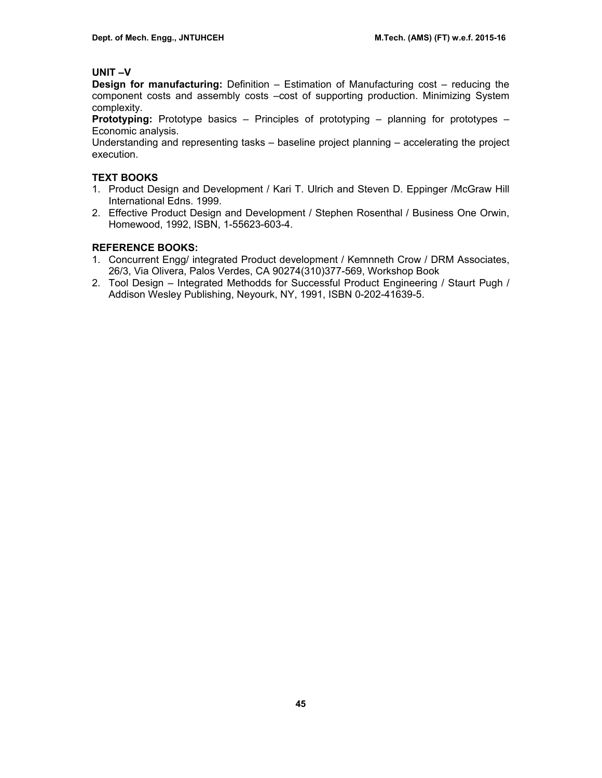# **UNIT –V**

**Design for manufacturing:** Definition – Estimation of Manufacturing cost – reducing the component costs and assembly costs –cost of supporting production. Minimizing System complexity.

**Prototyping:** Prototype basics – Principles of prototyping – planning for prototypes – Economic analysis.

Understanding and representing tasks – baseline project planning – accelerating the project execution.

# **TEXT BOOKS**

- 1. Product Design and Development / Kari T. Ulrich and Steven D. Eppinger /McGraw Hill International Edns. 1999.
- 2. Effective Product Design and Development / Stephen Rosenthal / Business One Orwin, Homewood, 1992, ISBN, 1-55623-603-4.

# **REFERENCE BOOKS:**

- 1. Concurrent Engg/ integrated Product development / Kemnneth Crow / DRM Associates, 26/3, Via Olivera, Palos Verdes, CA 90274(310)377-569, Workshop Book
- 2. Tool Design Integrated Methodds for Successful Product Engineering / Staurt Pugh / Addison Wesley Publishing, Neyourk, NY, 1991, ISBN 0-202-41639-5.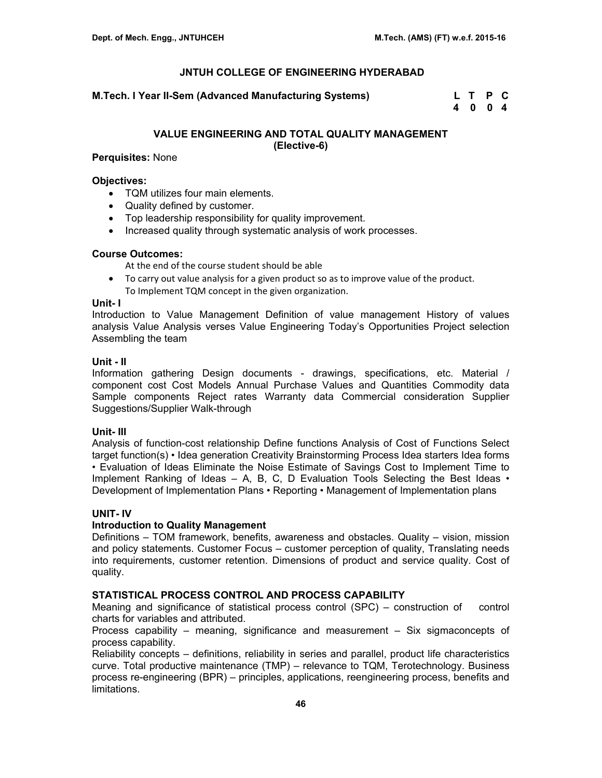**M.Tech. I Year II-Sem (Advanced Manufacturing Systems) L T P C** 

 **4 0 0 4** 

# **VALUE ENGINEERING AND TOTAL QUALITY MANAGEMENT (Elective-6)**

# **Perquisites:** None

### **Objectives:**

- TQM utilizes four main elements.
- Quality defined by customer.
- Top leadership responsibility for quality improvement.
- Increased quality through systematic analysis of work processes.

# **Course Outcomes:**

At the end of the course student should be able

• To carry out value analysis for a given product so as to improve value of the product. To Implement TQM concept in the given organization.

#### **Unit- I**

Introduction to Value Management Definition of value management History of values analysis Value Analysis verses Value Engineering Today's Opportunities Project selection Assembling the team

# **Unit - II**

Information gathering Design documents - drawings, specifications, etc. Material / component cost Cost Models Annual Purchase Values and Quantities Commodity data Sample components Reject rates Warranty data Commercial consideration Supplier Suggestions/Supplier Walk-through

# **Unit- III**

Analysis of function-cost relationship Define functions Analysis of Cost of Functions Select target function(s) • Idea generation Creativity Brainstorming Process Idea starters Idea forms • Evaluation of Ideas Eliminate the Noise Estimate of Savings Cost to Implement Time to Implement Ranking of Ideas  $-$  A, B, C, D Evaluation Tools Selecting the Best Ideas  $\cdot$ Development of Implementation Plans • Reporting • Management of Implementation plans

# **UNIT- IV**

# **Introduction to Quality Management**

Definitions – TOM framework, benefits, awareness and obstacles. Quality – vision, mission and policy statements. Customer Focus – customer perception of quality, Translating needs into requirements, customer retention. Dimensions of product and service quality. Cost of quality.

# **STATISTICAL PROCESS CONTROL AND PROCESS CAPABILITY**

Meaning and significance of statistical process control (SPC) – construction of control charts for variables and attributed.

Process capability – meaning, significance and measurement – Six sigmaconcepts of process capability.

Reliability concepts – definitions, reliability in series and parallel, product life characteristics curve. Total productive maintenance (TMP) – relevance to TQM, Terotechnology. Business process re-engineering (BPR) – principles, applications, reengineering process, benefits and limitations.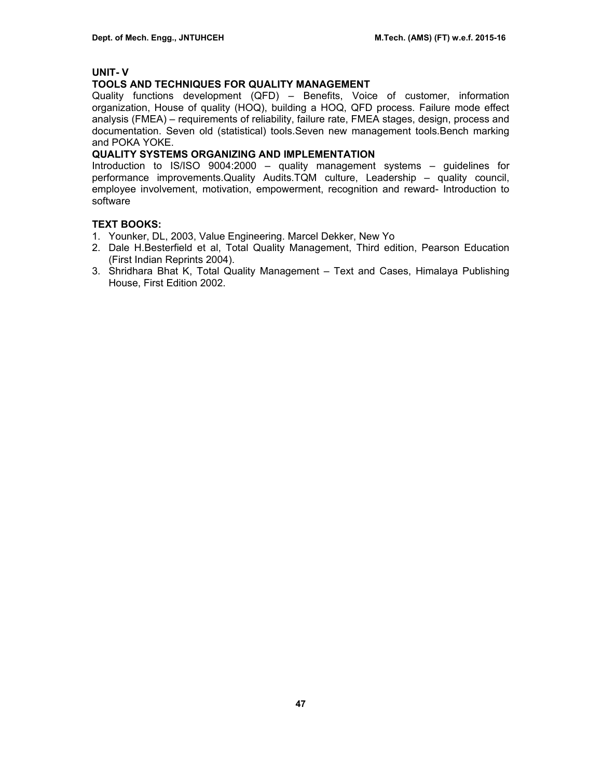# **UNIT- V**

# **TOOLS AND TECHNIQUES FOR QUALITY MANAGEMENT**

Quality functions development (QFD) – Benefits, Voice of customer, information organization, House of quality (HOQ), building a HOQ, QFD process. Failure mode effect analysis (FMEA) – requirements of reliability, failure rate, FMEA stages, design, process and documentation. Seven old (statistical) tools.Seven new management tools.Bench marking and POKA YOKE.

# **QUALITY SYSTEMS ORGANIZING AND IMPLEMENTATION**

Introduction to IS/ISO 9004:2000 – quality management systems – guidelines for performance improvements.Quality Audits.TQM culture, Leadership – quality council, employee involvement, motivation, empowerment, recognition and reward- Introduction to software

# **TEXT BOOKS:**

- 1. Younker, DL, 2003, Value Engineering. Marcel Dekker, New Yo
- 2. Dale H.Besterfield et al, Total Quality Management, Third edition, Pearson Education (First Indian Reprints 2004).
- 3. Shridhara Bhat K, Total Quality Management Text and Cases, Himalaya Publishing House, First Edition 2002.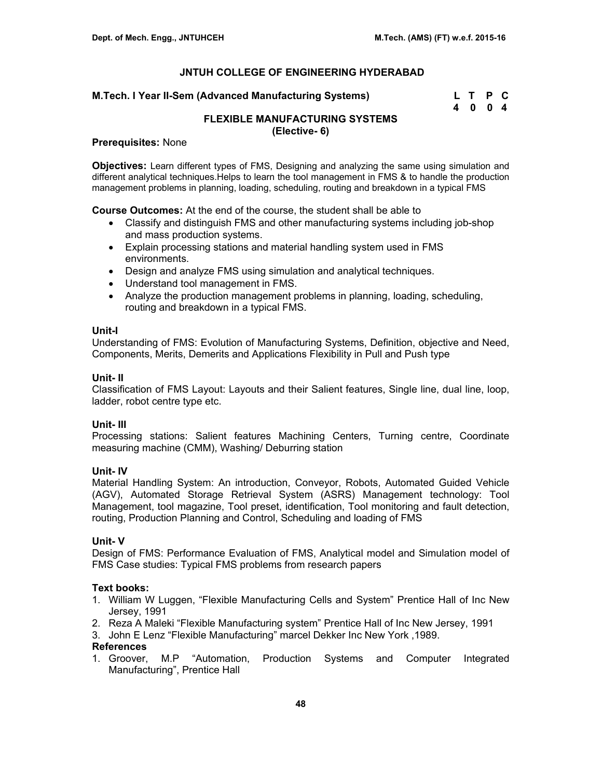### **M.Tech. I Year II-Sem (Advanced Manufacturing Systems)**

| M.Tech. I Year II-Sem (Advanced Manufacturing Systems) | L T P C |  |
|--------------------------------------------------------|---------|--|
|                                                        | 4004    |  |

# **FLEXIBLE MANUFACTURING SYSTEMS (Elective- 6)**

#### **Prerequisites:** None

**Objectives:** Learn different types of FMS, Designing and analyzing the same using simulation and different analytical techniques.Helps to learn the tool management in FMS & to handle the production management problems in planning, loading, scheduling, routing and breakdown in a typical FMS

**Course Outcomes:** At the end of the course, the student shall be able to

- Classify and distinguish FMS and other manufacturing systems including job-shop and mass production systems.
- Explain processing stations and material handling system used in FMS environments.
- Design and analyze FMS using simulation and analytical techniques.
- Understand tool management in FMS.
- Analyze the production management problems in planning, loading, scheduling, routing and breakdown in a typical FMS.

#### **Unit-I**

Understanding of FMS: Evolution of Manufacturing Systems, Definition, objective and Need, Components, Merits, Demerits and Applications Flexibility in Pull and Push type

#### **Unit- II**

Classification of FMS Layout: Layouts and their Salient features, Single line, dual line, loop, ladder, robot centre type etc.

# **Unit- III**

Processing stations: Salient features Machining Centers, Turning centre, Coordinate measuring machine (CMM), Washing/ Deburring station

# **Unit- IV**

Material Handling System: An introduction, Conveyor, Robots, Automated Guided Vehicle (AGV), Automated Storage Retrieval System (ASRS) Management technology: Tool Management, tool magazine, Tool preset, identification, Tool monitoring and fault detection, routing, Production Planning and Control, Scheduling and loading of FMS

# **Unit- V**

Design of FMS: Performance Evaluation of FMS, Analytical model and Simulation model of FMS Case studies: Typical FMS problems from research papers

# **Text books:**

- 1. William W Luggen, "Flexible Manufacturing Cells and System" Prentice Hall of Inc New Jersey, 1991
- 2. Reza A Maleki "Flexible Manufacturing system" Prentice Hall of Inc New Jersey, 1991
- 3. John E Lenz "Flexible Manufacturing" marcel Dekker Inc New York ,1989.

# **References**

1. Groover, M.P "Automation, Production Systems and Computer Integrated Manufacturing", Prentice Hall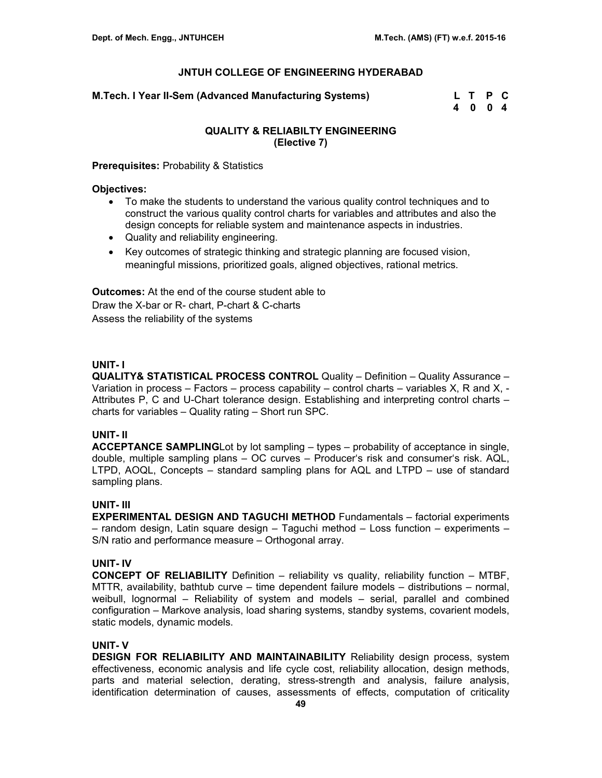**M.Tech. I Year II-Sem (Advanced Manufacturing Systems) L T P C** 

 **4 0 0 4** 

# **QUALITY & RELIABILTY ENGINEERING (Elective 7)**

#### **Prerequisites:** Probability & Statistics

#### **Objectives:**

- To make the students to understand the various quality control techniques and to construct the various quality control charts for variables and attributes and also the design concepts for reliable system and maintenance aspects in industries.
- Quality and reliability engineering.
- Key outcomes of strategic thinking and strategic planning are focused vision, meaningful missions, prioritized goals, aligned objectives, rational metrics.

**Outcomes:** At the end of the course student able to Draw the X-bar or R- chart, P-chart & C-charts Assess the reliability of the systems

# **UNIT- I**

**QUALITY& STATISTICAL PROCESS CONTROL** Quality – Definition – Quality Assurance – Variation in process – Factors – process capability – control charts – variables X, R and X, -Attributes P, C and U-Chart tolerance design. Establishing and interpreting control charts – charts for variables – Quality rating – Short run SPC.

# **UNIT- II**

**ACCEPTANCE SAMPLING**Lot by lot sampling – types – probability of acceptance in single, double, multiple sampling plans – OC curves – Producer's risk and consumer's risk. AQL, LTPD, AOQL, Concepts – standard sampling plans for AQL and LTPD – use of standard sampling plans.

# **UNIT- III**

**EXPERIMENTAL DESIGN AND TAGUCHI METHOD** Fundamentals – factorial experiments – random design, Latin square design – Taguchi method – Loss function – experiments – S/N ratio and performance measure – Orthogonal array.

# **UNIT- IV**

**CONCEPT OF RELIABILITY** Definition – reliability vs quality, reliability function – MTBF, MTTR, availability, bathtub curve – time dependent failure models – distributions – normal, weibull, lognormal – Reliability of system and models – serial, parallel and combined configuration – Markove analysis, load sharing systems, standby systems, covarient models, static models, dynamic models.

# **UNIT- V**

**DESIGN FOR RELIABILITY AND MAINTAINABILITY** Reliability design process, system effectiveness, economic analysis and life cycle cost, reliability allocation, design methods, parts and material selection, derating, stress-strength and analysis, failure analysis, identification determination of causes, assessments of effects, computation of criticality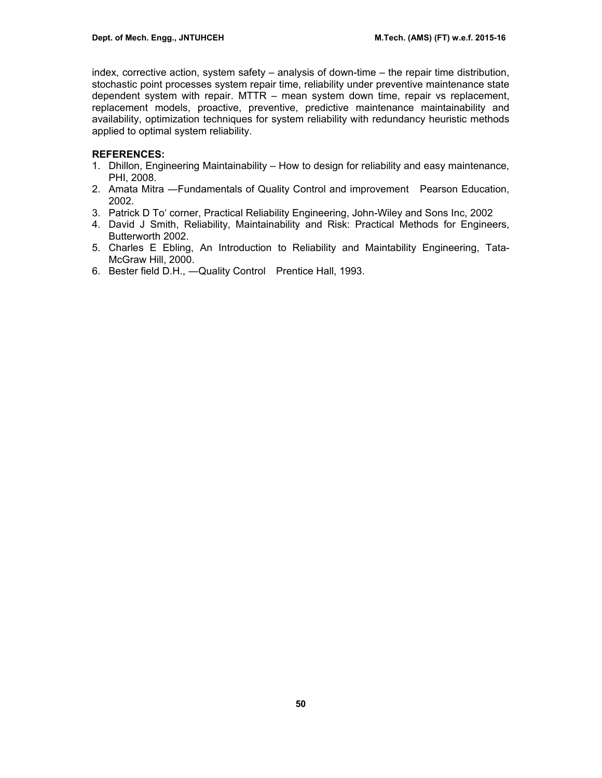index, corrective action, system safety – analysis of down-time – the repair time distribution, stochastic point processes system repair time, reliability under preventive maintenance state dependent system with repair. MTTR – mean system down time, repair vs replacement, replacement models, proactive, preventive, predictive maintenance maintainability and availability, optimization techniques for system reliability with redundancy heuristic methods applied to optimal system reliability.

# **REFERENCES:**

- 1. Dhillon, Engineering Maintainability How to design for reliability and easy maintenance, PHI, 2008.
- 2. Amata Mitra ―Fundamentals of Quality Control and improvement Pearson Education, 2002.
- 3. Patrick D To' corner, Practical Reliability Engineering, John-Wiley and Sons Inc, 2002
- 4. David J Smith, Reliability, Maintainability and Risk: Practical Methods for Engineers, Butterworth 2002.
- 5. Charles E Ebling, An Introduction to Reliability and Maintability Engineering, Tata-McGraw Hill, 2000.
- 6. Bester field D.H., ―Quality Control Prentice Hall, 1993.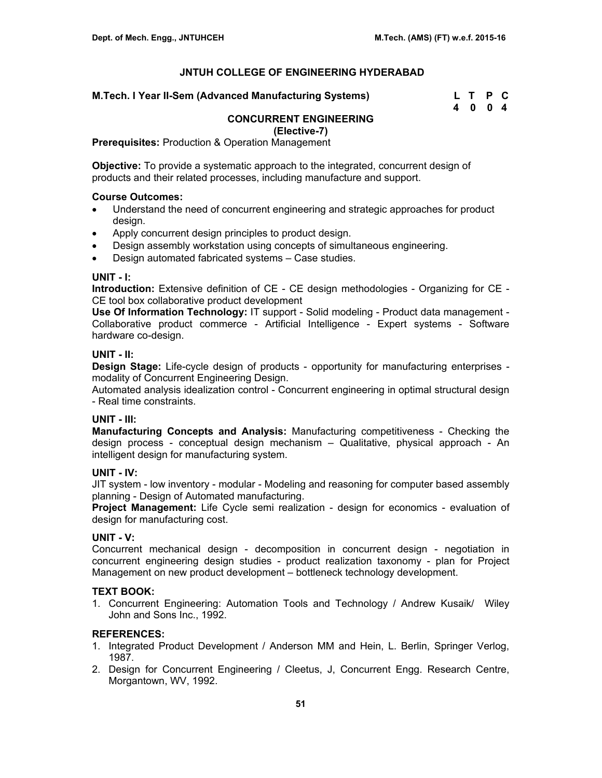#### **M.Tech. I Year II-Sem (Advanced Manufacturing Systems)**

| M.Tech. I Year II-Sem (Advanced Manufacturing Systems) | L T P C |  |
|--------------------------------------------------------|---------|--|
|                                                        | 4004    |  |

# **CONCURRENT ENGINEERING**

**(Elective-7)** 

**Prerequisites: Production & Operation Management** 

**Objective:** To provide a systematic approach to the integrated, concurrent design of products and their related processes, including manufacture and support.

#### **Course Outcomes:**

- Understand the need of concurrent engineering and strategic approaches for product design.
- Apply concurrent design principles to product design.
- Design assembly workstation using concepts of simultaneous engineering.
- Design automated fabricated systems Case studies.

## **UNIT - I:**

**Introduction:** Extensive definition of CE - CE design methodologies - Organizing for CE - CE tool box collaborative product development

**Use Of Information Technology:** IT support - Solid modeling - Product data management - Collaborative product commerce - Artificial Intelligence - Expert systems - Software hardware co-design.

#### **UNIT - II:**

**Design Stage:** Life-cycle design of products - opportunity for manufacturing enterprises modality of Concurrent Engineering Design.

Automated analysis idealization control - Concurrent engineering in optimal structural design - Real time constraints.

# **UNIT - III:**

**Manufacturing Concepts and Analysis:** Manufacturing competitiveness - Checking the design process - conceptual design mechanism – Qualitative, physical approach - An intelligent design for manufacturing system.

#### **UNIT - IV:**

JIT system - low inventory - modular - Modeling and reasoning for computer based assembly planning - Design of Automated manufacturing.

**Project Management:** Life Cycle semi realization - design for economics - evaluation of design for manufacturing cost.

# **UNIT - V:**

Concurrent mechanical design - decomposition in concurrent design - negotiation in concurrent engineering design studies - product realization taxonomy - plan for Project Management on new product development – bottleneck technology development.

# **TEXT BOOK:**

1. Concurrent Engineering: Automation Tools and Technology / Andrew Kusaik/ Wiley John and Sons Inc., 1992.

# **REFERENCES:**

- 1. Integrated Product Development / Anderson MM and Hein, L. Berlin, Springer Verlog, 1987.
- 2. Design for Concurrent Engineering / Cleetus, J, Concurrent Engg. Research Centre, Morgantown, WV, 1992.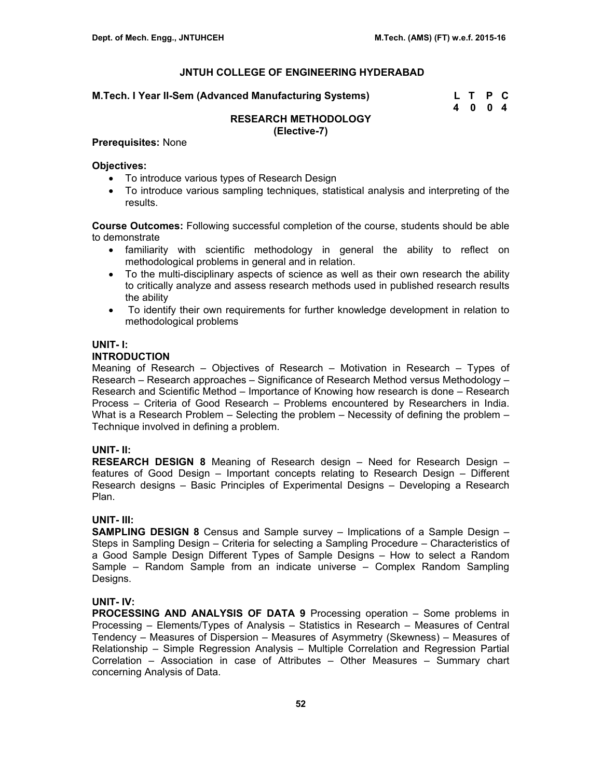| M.Tech. I Year II-Sem (Advanced Manufacturing Systems) | L T P C |  |
|--------------------------------------------------------|---------|--|
|                                                        | 4004    |  |

#### **RESEARCH METHODOLOGY (Elective-7)**

#### **Prerequisites:** None

#### **Objectives:**

- To introduce various types of Research Design
- To introduce various sampling techniques, statistical analysis and interpreting of the results.

**Course Outcomes:** Following successful completion of the course, students should be able to demonstrate

- familiarity with scientific methodology in general the ability to reflect on methodological problems in general and in relation.
- To the multi-disciplinary aspects of science as well as their own research the ability to critically analyze and assess research methods used in published research results the ability
- To identify their own requirements for further knowledge development in relation to methodological problems

#### **UNIT- I:**

# **INTRODUCTION**

Meaning of Research – Objectives of Research – Motivation in Research – Types of Research – Research approaches – Significance of Research Method versus Methodology – Research and Scientific Method – Importance of Knowing how research is done – Research Process – Criteria of Good Research – Problems encountered by Researchers in India. What is a Research Problem – Selecting the problem – Necessity of defining the problem – Technique involved in defining a problem.

# **UNIT- II:**

**RESEARCH DESIGN 8** Meaning of Research design – Need for Research Design – features of Good Design – Important concepts relating to Research Design – Different Research designs – Basic Principles of Experimental Designs – Developing a Research Plan.

# **UNIT- III:**

**SAMPLING DESIGN 8** Census and Sample survey – Implications of a Sample Design – Steps in Sampling Design – Criteria for selecting a Sampling Procedure – Characteristics of a Good Sample Design Different Types of Sample Designs – How to select a Random Sample – Random Sample from an indicate universe – Complex Random Sampling Designs.

# **UNIT- IV:**

**PROCESSING AND ANALYSIS OF DATA 9** Processing operation – Some problems in Processing – Elements/Types of Analysis – Statistics in Research – Measures of Central Tendency – Measures of Dispersion – Measures of Asymmetry (Skewness) – Measures of Relationship – Simple Regression Analysis – Multiple Correlation and Regression Partial Correlation – Association in case of Attributes – Other Measures – Summary chart concerning Analysis of Data.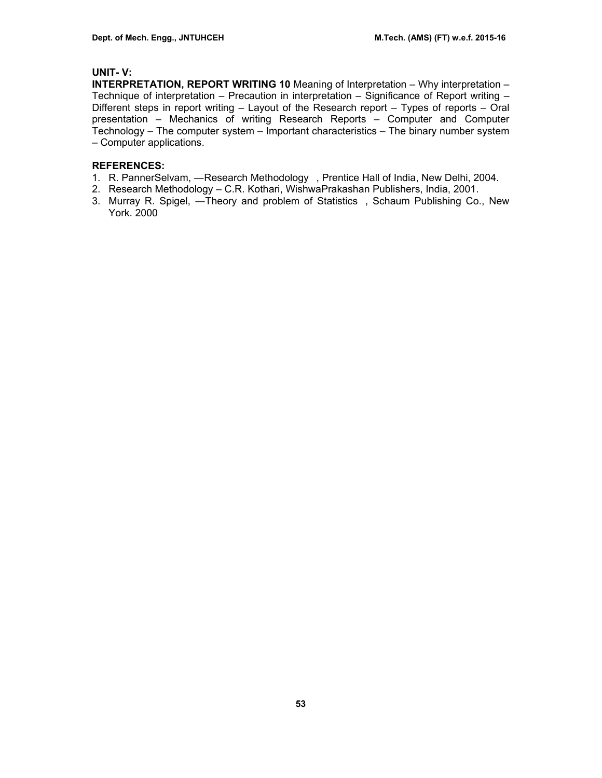# **UNIT- V:**

**INTERPRETATION, REPORT WRITING 10** Meaning of Interpretation – Why interpretation – Technique of interpretation – Precaution in interpretation – Significance of Report writing – Different steps in report writing – Layout of the Research report – Types of reports – Oral presentation – Mechanics of writing Research Reports – Computer and Computer Technology – The computer system – Important characteristics – The binary number system – Computer applications.

### **REFERENCES:**

- 1. R. PannerSelvam, —Research Methodology, Prentice Hall of India, New Delhi, 2004.
- 2. Research Methodology C.R. Kothari, WishwaPrakashan Publishers, India, 2001.
- 3. Murray R. Spigel, ―Theory and problem of Statistics, Schaum Publishing Co., New York. 2000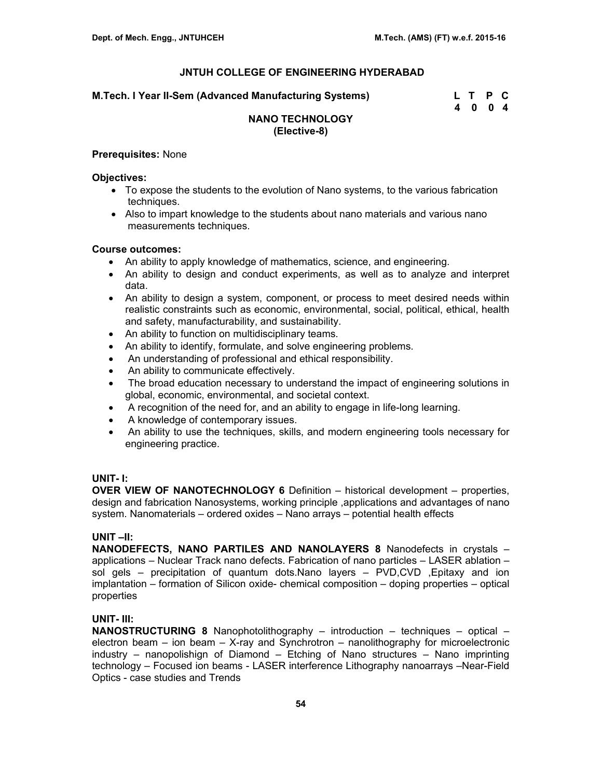**M.Tech. I Year II-Sem (Advanced Manufacturing Systems) L T P C** 

 **4 0 0 4** 

# **NANO TECHNOLOGY (Elective-8)**

#### **Prerequisites:** None

#### **Objectives:**

- To expose the students to the evolution of Nano systems, to the various fabrication techniques.
- Also to impart knowledge to the students about nano materials and various nano measurements techniques.

#### **Course outcomes:**

- An ability to apply knowledge of mathematics, science, and engineering.
- An ability to design and conduct experiments, as well as to analyze and interpret data.
- An ability to design a system, component, or process to meet desired needs within realistic constraints such as economic, environmental, social, political, ethical, health and safety, manufacturability, and sustainability.
- An ability to function on multidisciplinary teams.
- An ability to identify, formulate, and solve engineering problems.
- An understanding of professional and ethical responsibility.
- An ability to communicate effectively.
- The broad education necessary to understand the impact of engineering solutions in global, economic, environmental, and societal context.
- A recognition of the need for, and an ability to engage in life-long learning.
- A knowledge of contemporary issues.
- An ability to use the techniques, skills, and modern engineering tools necessary for engineering practice.

# **UNIT- I:**

**OVER VIEW OF NANOTECHNOLOGY 6** Definition – historical development – properties, design and fabrication Nanosystems, working principle ,applications and advantages of nano system. Nanomaterials – ordered oxides – Nano arrays – potential health effects

# **UNIT –II:**

**NANODEFECTS, NANO PARTILES AND NANOLAYERS 8** Nanodefects in crystals – applications – Nuclear Track nano defects. Fabrication of nano particles – LASER ablation – sol gels – precipitation of quantum dots.Nano layers – PVD,CVD ,Epitaxy and ion implantation – formation of Silicon oxide- chemical composition – doping properties – optical properties

# **UNIT- III:**

**NANOSTRUCTURING 8** Nanophotolithography – introduction – techniques – optical – electron beam – ion beam – X-ray and Synchrotron – nanolithography for microelectronic industry – nanopolishign of Diamond – Etching of Nano structures – Nano imprinting technology – Focused ion beams - LASER interference Lithography nanoarrays –Near-Field Optics - case studies and Trends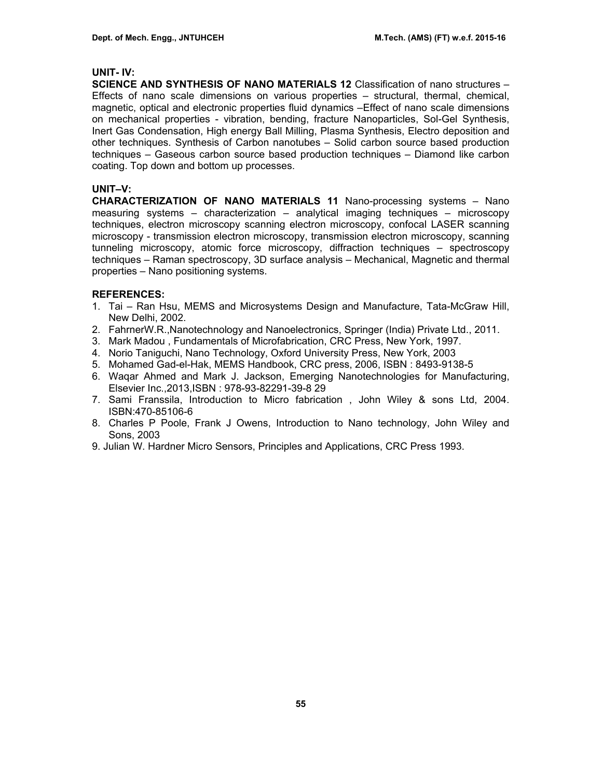#### **UNIT- IV:**

**SCIENCE AND SYNTHESIS OF NANO MATERIALS 12** Classification of nano structures – Effects of nano scale dimensions on various properties – structural, thermal, chemical, magnetic, optical and electronic properties fluid dynamics –Effect of nano scale dimensions on mechanical properties - vibration, bending, fracture Nanoparticles, Sol-Gel Synthesis, Inert Gas Condensation, High energy Ball Milling, Plasma Synthesis, Electro deposition and other techniques. Synthesis of Carbon nanotubes – Solid carbon source based production techniques – Gaseous carbon source based production techniques – Diamond like carbon coating. Top down and bottom up processes.

#### **UNIT–V:**

**CHARACTERIZATION OF NANO MATERIALS 11** Nano-processing systems – Nano measuring systems – characterization – analytical imaging techniques – microscopy techniques, electron microscopy scanning electron microscopy, confocal LASER scanning microscopy - transmission electron microscopy, transmission electron microscopy, scanning tunneling microscopy, atomic force microscopy, diffraction techniques – spectroscopy techniques – Raman spectroscopy, 3D surface analysis – Mechanical, Magnetic and thermal properties – Nano positioning systems.

#### **REFERENCES:**

- 1. Tai Ran Hsu, MEMS and Microsystems Design and Manufacture, Tata-McGraw Hill, New Delhi, 2002.
- 2. FahrnerW.R.,Nanotechnology and Nanoelectronics, Springer (India) Private Ltd., 2011.
- 3. Mark Madou , Fundamentals of Microfabrication, CRC Press, New York, 1997.
- 4. Norio Taniguchi, Nano Technology, Oxford University Press, New York, 2003
- 5. Mohamed Gad-el-Hak, MEMS Handbook, CRC press, 2006, ISBN : 8493-9138-5
- 6. Waqar Ahmed and Mark J. Jackson, Emerging Nanotechnologies for Manufacturing, Elsevier Inc.,2013,ISBN : 978-93-82291-39-8 29
- 7. Sami Franssila, Introduction to Micro fabrication , John Wiley & sons Ltd, 2004. ISBN:470-85106-6
- 8. Charles P Poole, Frank J Owens, Introduction to Nano technology, John Wiley and Sons, 2003
- 9. Julian W. Hardner Micro Sensors, Principles and Applications, CRC Press 1993.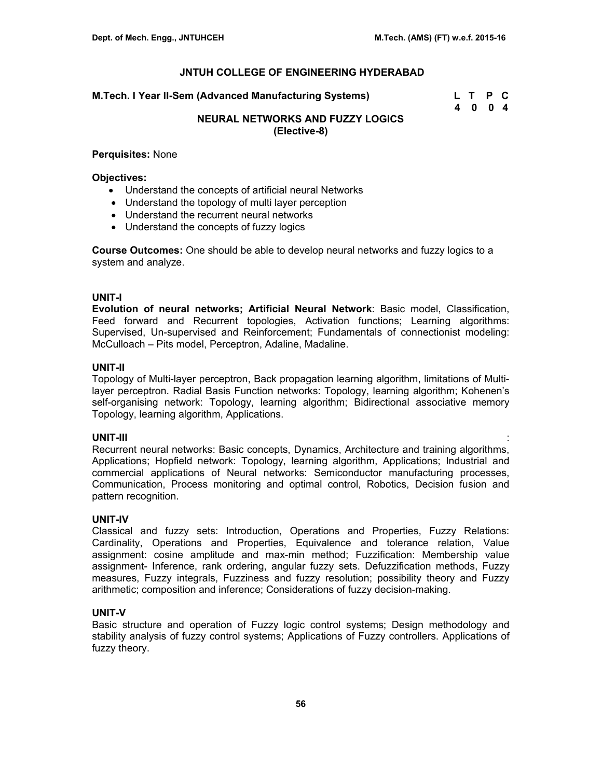**M.Tech. I Year II-Sem (Advanced Manufacturing Systems) L T P C** 

 **4 0 0 4** 

# **NEURAL NETWORKS AND FUZZY LOGICS (Elective-8)**

#### **Perquisites:** None

### **Objectives:**

- Understand the concepts of artificial neural Networks
- Understand the topology of multi layer perception
- Understand the recurrent neural networks
- Understand the concepts of fuzzy logics

**Course Outcomes:** One should be able to develop neural networks and fuzzy logics to a system and analyze.

# **UNIT-I**

**Evolution of neural networks; Artificial Neural Network**: Basic model, Classification, Feed forward and Recurrent topologies, Activation functions; Learning algorithms: Supervised, Un-supervised and Reinforcement; Fundamentals of connectionist modeling: McCulloach – Pits model, Perceptron, Adaline, Madaline.

#### **UNIT-II**

Topology of Multi-layer perceptron, Back propagation learning algorithm, limitations of Multilayer perceptron. Radial Basis Function networks: Topology, learning algorithm; Kohenen's self-organising network: Topology, learning algorithm; Bidirectional associative memory Topology, learning algorithm, Applications.

# **UNIT-III** :

Recurrent neural networks: Basic concepts, Dynamics, Architecture and training algorithms, Applications; Hopfield network: Topology, learning algorithm, Applications; Industrial and commercial applications of Neural networks: Semiconductor manufacturing processes, Communication, Process monitoring and optimal control, Robotics, Decision fusion and pattern recognition.

# **UNIT-IV**

Classical and fuzzy sets: Introduction, Operations and Properties, Fuzzy Relations: Cardinality, Operations and Properties, Equivalence and tolerance relation, Value assignment: cosine amplitude and max-min method; Fuzzification: Membership value assignment- Inference, rank ordering, angular fuzzy sets. Defuzzification methods, Fuzzy measures, Fuzzy integrals, Fuzziness and fuzzy resolution; possibility theory and Fuzzy arithmetic; composition and inference; Considerations of fuzzy decision-making.

# **UNIT-V**

Basic structure and operation of Fuzzy logic control systems; Design methodology and stability analysis of fuzzy control systems; Applications of Fuzzy controllers. Applications of fuzzy theory.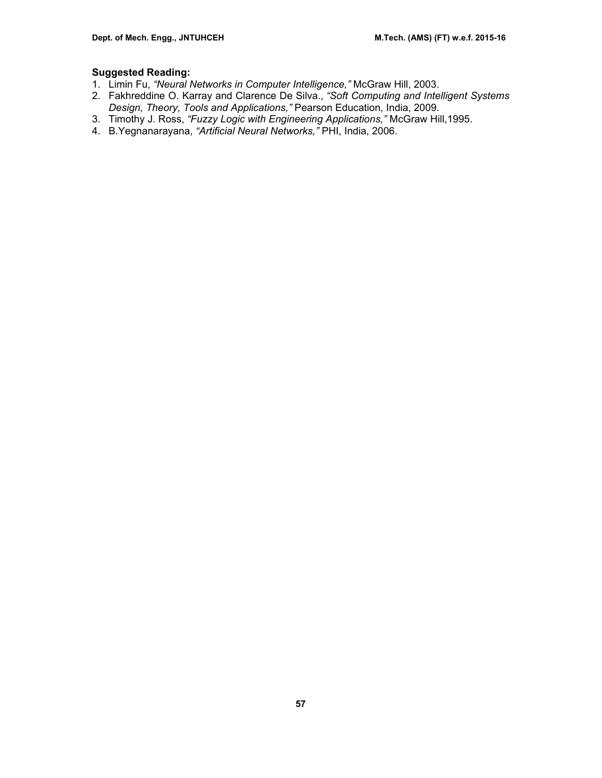# **Suggested Reading:**

- 1. Limin Fu, *"Neural Networks in Computer Intelligence,"* McGraw Hill, 2003.
- 2. Fakhreddine O. Karray and Clarence De Silva., *"Soft Computing and Intelligent Systems Design, Theory, Tools and Applications,"* Pearson Education, India, 2009.
- 3. Timothy J. Ross, *"Fuzzy Logic with Engineering Applications,"* McGraw Hill,1995.
- 4. B.Yegnanarayana, *"Artificial Neural Networks,"* PHI, India, 2006.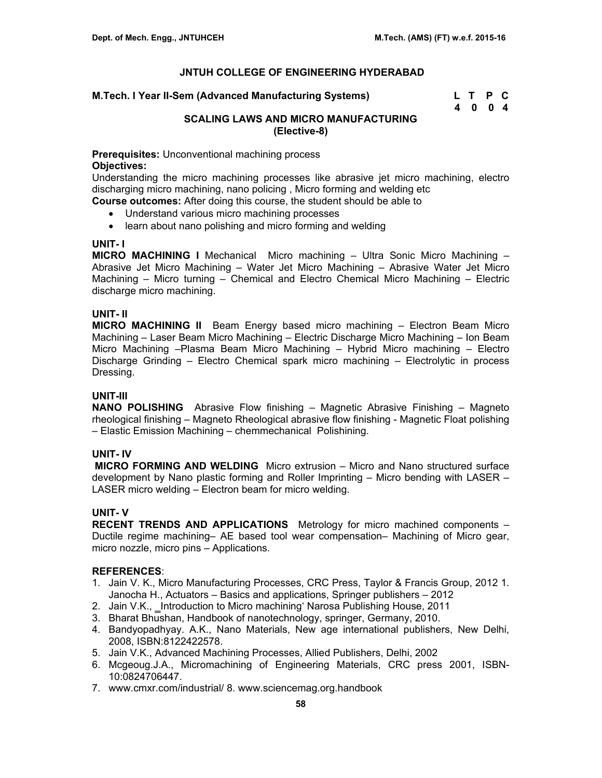| M.Tech. I Year II-Sem (Advanced Manufacturing Systems) | L T P C |  |
|--------------------------------------------------------|---------|--|
|                                                        | 4004    |  |

# **SCALING LAWS AND MICRO MANUFACTURING (Elective-8)**

**Prerequisites:** Unconventional machining process

### **Objectives:**

Understanding the micro machining processes like abrasive jet micro machining, electro discharging micro machining, nano policing , Micro forming and welding etc

**Course outcomes:** After doing this course, the student should be able to

- Understand various micro machining processes
- learn about nano polishing and micro forming and welding

#### **UNIT- I**

**MICRO MACHINING I** Mechanical Micro machining – Ultra Sonic Micro Machining – Abrasive Jet Micro Machining – Water Jet Micro Machining – Abrasive Water Jet Micro Machining – Micro turning – Chemical and Electro Chemical Micro Machining – Electric discharge micro machining.

#### **UNIT- II**

**MICRO MACHINING II** Beam Energy based micro machining – Electron Beam Micro Machining – Laser Beam Micro Machining – Electric Discharge Micro Machining – Ion Beam Micro Machining –Plasma Beam Micro Machining – Hybrid Micro machining – Electro Discharge Grinding – Electro Chemical spark micro machining – Electrolytic in process Dressing.

# **UNIT-III**

**NANO POLISHING** Abrasive Flow finishing – Magnetic Abrasive Finishing – Magneto rheological finishing – Magneto Rheological abrasive flow finishing - Magnetic Float polishing – Elastic Emission Machining – chemmechanical Polishining.

# **UNIT- IV**

 **MICRO FORMING AND WELDING** Micro extrusion – Micro and Nano structured surface development by Nano plastic forming and Roller Imprinting – Micro bending with LASER – LASER micro welding – Electron beam for micro welding.

# **UNIT- V**

**RECENT TRENDS AND APPLICATIONS** Metrology for micro machined components – Ductile regime machining– AE based tool wear compensation– Machining of Micro gear, micro nozzle, micro pins – Applications.

#### **REFERENCES**:

- 1. Jain V. K., Micro Manufacturing Processes, CRC Press, Taylor & Francis Group, 2012 1. Janocha H., Actuators – Basics and applications, Springer publishers – 2012
- 2. Jain V.K., Introduction to Micro machining' Narosa Publishing House, 2011
- 3. Bharat Bhushan, Handbook of nanotechnology, springer, Germany, 2010.
- 4. Bandyopadhyay. A.K., Nano Materials, New age international publishers, New Delhi, 2008, ISBN:8122422578.
- 5. Jain V.K., Advanced Machining Processes, Allied Publishers, Delhi, 2002
- 6. Mcgeoug.J.A., Micromachining of Engineering Materials, CRC press 2001, ISBN-10:0824706447.
- 7. www.cmxr.com/industrial/ 8. www.sciencemag.org.handbook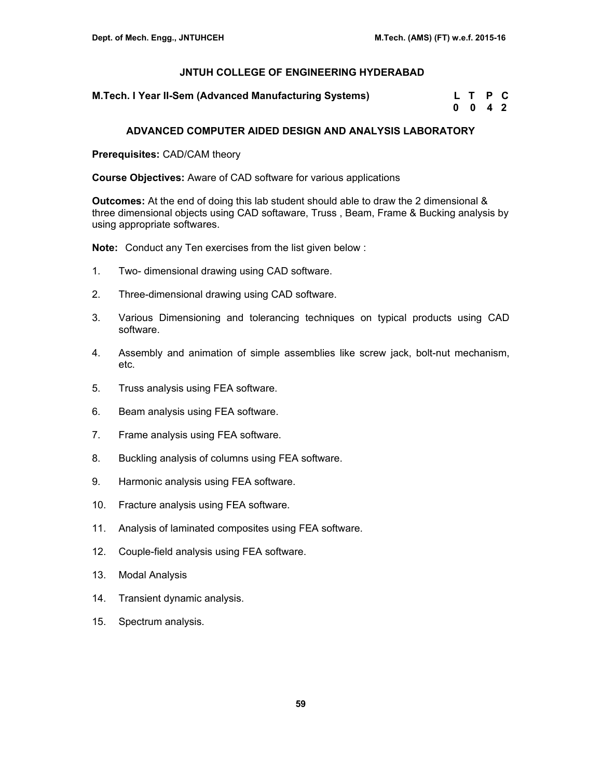**M.Tech. I Year II-Sem (Advanced Manufacturing Systems)** 

| <code>M.Tech.I</code> Year II-Sem (Advanced Manufacturing Systems) $\,$ | L T P C            |  |
|-------------------------------------------------------------------------|--------------------|--|
|                                                                         | $0 \t 0 \t 4 \t 2$ |  |

# **ADVANCED COMPUTER AIDED DESIGN AND ANALYSIS LABORATORY**

**Prerequisites:** CAD/CAM theory

**Course Objectives:** Aware of CAD software for various applications

**Outcomes:** At the end of doing this lab student should able to draw the 2 dimensional & three dimensional objects using CAD softaware, Truss , Beam, Frame & Bucking analysis by using appropriate softwares.

**Note:** Conduct any Ten exercises from the list given below :

- 1. Two- dimensional drawing using CAD software.
- 2. Three-dimensional drawing using CAD software.
- 3. Various Dimensioning and tolerancing techniques on typical products using CAD software.
- 4. Assembly and animation of simple assemblies like screw jack, bolt-nut mechanism, etc.
- 5. Truss analysis using FEA software.
- 6. Beam analysis using FEA software.
- 7. Frame analysis using FEA software.
- 8. Buckling analysis of columns using FEA software.
- 9. Harmonic analysis using FEA software.
- 10. Fracture analysis using FEA software.
- 11. Analysis of laminated composites using FEA software.
- 12. Couple-field analysis using FEA software.
- 13. Modal Analysis
- 14. Transient dynamic analysis.
- 15. Spectrum analysis.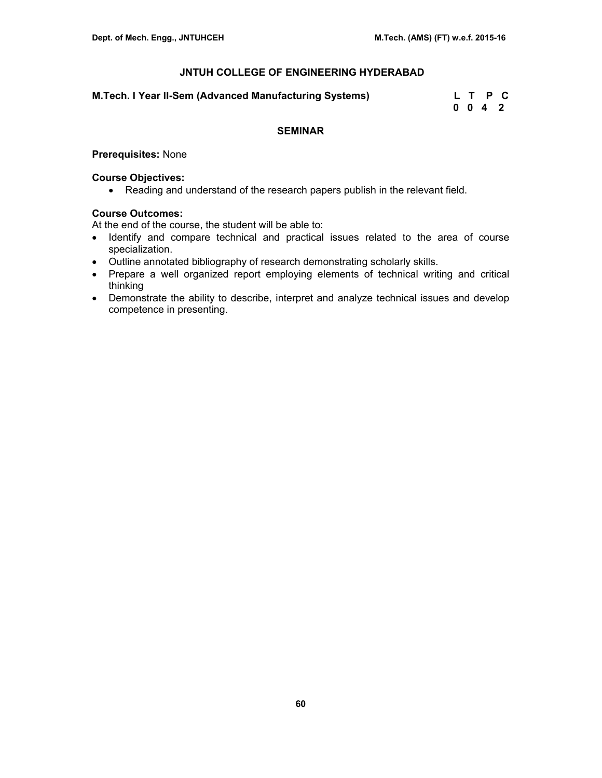#### **M.Tech. I Year II-Sem (Advanced Manufacturing Systems)**

| M.Tech. I Year II-Sem (Advanced Manufacturing Systems) |  | L T P C |  |
|--------------------------------------------------------|--|---------|--|
|                                                        |  | 0042    |  |

# **SEMINAR**

# **Prerequisites:** None

### **Course Objectives:**

• Reading and understand of the research papers publish in the relevant field.

### **Course Outcomes:**

At the end of the course, the student will be able to:

- Identify and compare technical and practical issues related to the area of course specialization.
- Outline annotated bibliography of research demonstrating scholarly skills.
- Prepare a well organized report employing elements of technical writing and critical thinking
- Demonstrate the ability to describe, interpret and analyze technical issues and develop competence in presenting.